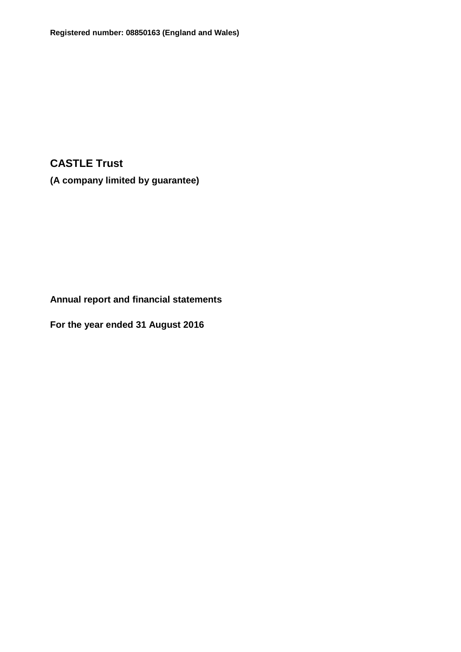**(A company limited by guarantee)**

**Annual report and financial statements**

**For the year ended 31 August 2016**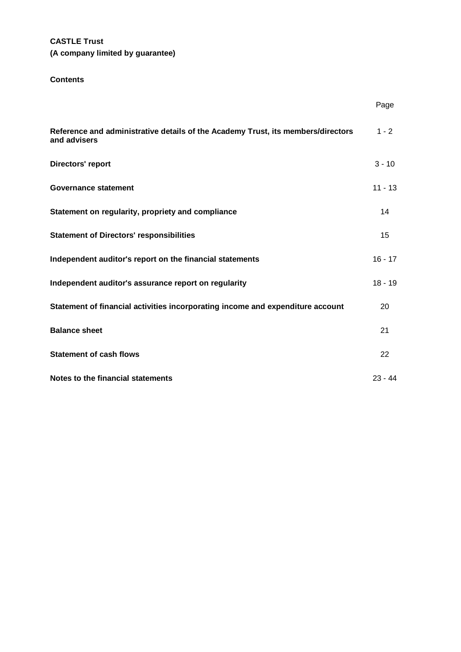# **Contents**

|                                                                                                  | Page      |
|--------------------------------------------------------------------------------------------------|-----------|
| Reference and administrative details of the Academy Trust, its members/directors<br>and advisers | $1 - 2$   |
| Directors' report                                                                                | $3 - 10$  |
| <b>Governance statement</b>                                                                      | $11 - 13$ |
| Statement on regularity, propriety and compliance                                                | 14        |
| <b>Statement of Directors' responsibilities</b>                                                  | 15        |
| Independent auditor's report on the financial statements                                         | $16 - 17$ |
| Independent auditor's assurance report on regularity                                             | $18 - 19$ |
| Statement of financial activities incorporating income and expenditure account                   | 20        |
| <b>Balance sheet</b>                                                                             | 21        |
| <b>Statement of cash flows</b>                                                                   | 22        |
| Notes to the financial statements                                                                | $23 - 44$ |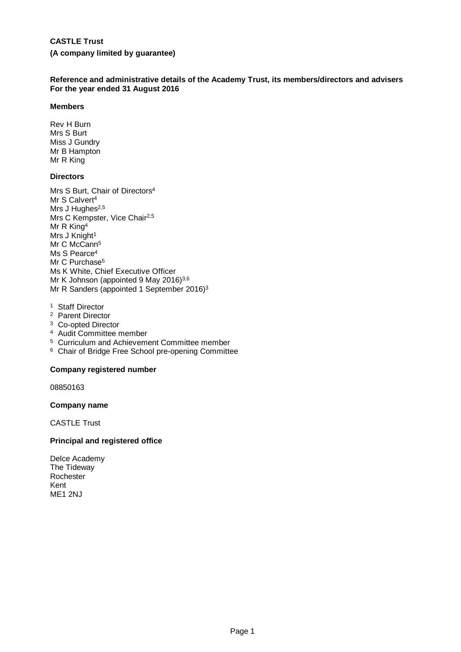**(A company limited by guarantee)**

**Reference and administrative details of the Academy Trust, its members/directors and advisers For the year ended 31 August 2016**

#### **Members**

Rev H Burn Mrs S Burt Miss J Gundry Mr B Hampton Mr R King

# **Directors**

Mrs S Burt, Chair of Directors<sup>4</sup> Mr S Calvert<sup>4</sup> Mrs J Hughes<sup>2,5</sup> Mrs C Kempster, Vice Chair2,5 Mr R King4 Mrs J Knight<sup>1</sup> Mr C McCann<sup>5</sup> Ms S Pearce<sup>4</sup> Mr C Purchase<sup>5</sup> Ms K White, Chief Executive Officer Mr K Johnson (appointed 9 May 2016)<sup>3,6</sup> Mr R Sanders (appointed 1 September 2016)3

- <sup>1</sup> Staff Director
- <sup>2</sup> Parent Director
- <sup>3</sup> Co-opted Director
- <sup>4</sup> Audit Committee member
- <sup>5</sup> Curriculum and Achievement Committee member
- <sup>6</sup> Chair of Bridge Free School pre-opening Committee

# **Company registered number**

08850163

# **Company name**

CASTLE Trust

# **Principal and registered office**

Delce Academy The Tideway Rochester Kent ME1 2NJ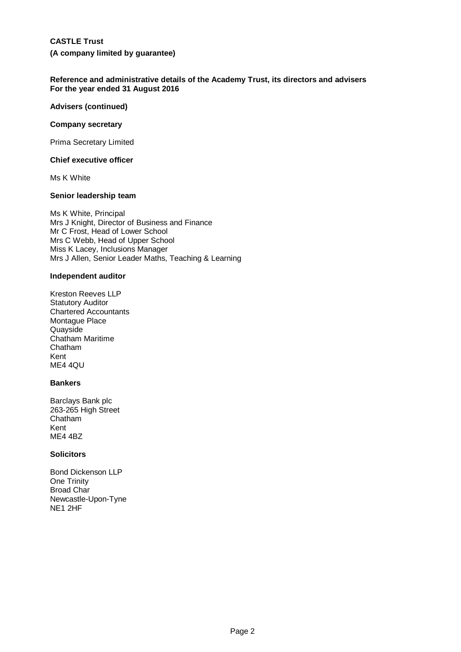# **Reference and administrative details of the Academy Trust, its directors and advisers For the year ended 31 August 2016**

**Advisers (continued)**

## **Company secretary**

Prima Secretary Limited

**Chief executive officer**

Ms K White

#### **Senior leadership team**

Ms K White, Principal Mrs J Knight, Director of Business and Finance Mr C Frost, Head of Lower School Mrs C Webb, Head of Upper School Miss K Lacey, Inclusions Manager Mrs J Allen, Senior Leader Maths, Teaching & Learning

#### **Independent auditor**

Kreston Reeves LLP Statutory Auditor Chartered Accountants Montague Place Quayside Chatham Maritime Chatham Kent ME4 4QU

#### **Bankers**

Barclays Bank plc 263-265 High Street Chatham Kent ME4 4BZ

# **Solicitors**

Bond Dickenson LLP One Trinity Broad Char Newcastle-Upon-Tyne NE1 2HF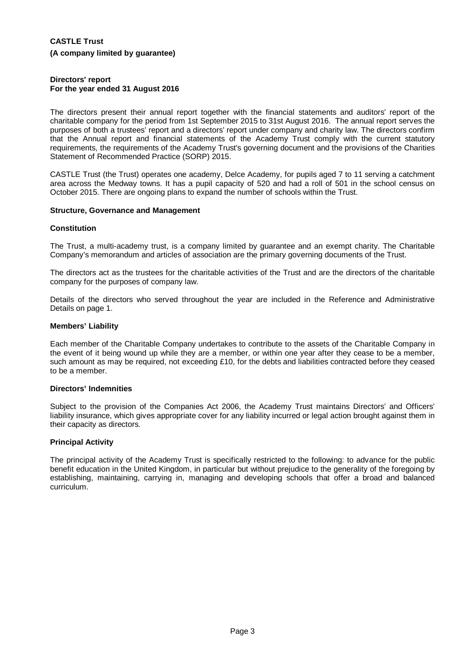## **Directors' report For the year ended 31 August 2016**

The directors present their annual report together with the financial statements and auditors' report of the charitable company for the period from 1st September 2015 to 31st August 2016. The annual report serves the purposes of both a trustees' report and a directors' report under company and charity law. The directors confirm that the Annual report and financial statements of the Academy Trust comply with the current statutory requirements, the requirements of the Academy Trust's governing document and the provisions of the Charities Statement of Recommended Practice (SORP) 2015.

CASTLE Trust (the Trust) operates one academy, Delce Academy, for pupils aged 7 to 11 serving a catchment area across the Medway towns. It has a pupil capacity of 520 and had a roll of 501 in the school census on October 2015. There are ongoing plans to expand the number of schools within the Trust.

#### **Structure, Governance and Management**

#### **Constitution**

The Trust, a multi-academy trust, is a company limited by guarantee and an exempt charity. The Charitable Company's memorandum and articles of association are the primary governing documents of the Trust.

The directors act as the trustees for the charitable activities of the Trust and are the directors of the charitable company for the purposes of company law.

Details of the directors who served throughout the year are included in the Reference and Administrative Details on page 1.

#### **Members' Liability**

Each member of the Charitable Company undertakes to contribute to the assets of the Charitable Company in the event of it being wound up while they are a member, or within one year after they cease to be a member, such amount as may be required, not exceeding £10, for the debts and liabilities contracted before they ceased to be a member.

#### **Directors' Indemnities**

Subject to the provision of the Companies Act 2006, the Academy Trust maintains Directors' and Officers' liability insurance, which gives appropriate cover for any liability incurred or legal action brought against them in their capacity as directors.

# **Principal Activity**

The principal activity of the Academy Trust is specifically restricted to the following: to advance for the public benefit education in the United Kingdom, in particular but without prejudice to the generality of the foregoing by establishing, maintaining, carrying in, managing and developing schools that offer a broad and balanced curriculum.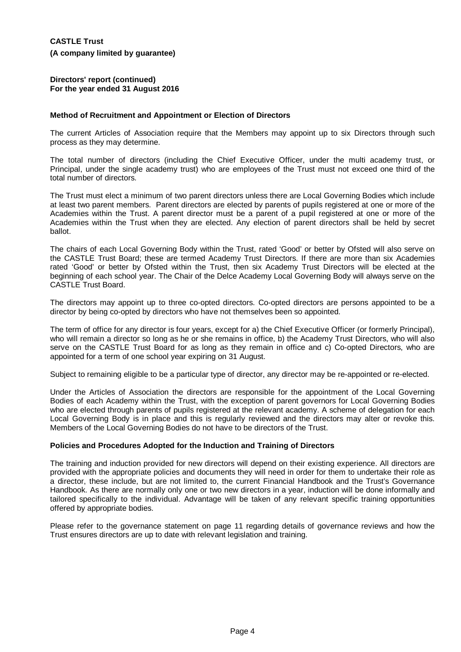#### **Directors' report (continued) For the year ended 31 August 2016**

## **Method of Recruitment and Appointment or Election of Directors**

The current Articles of Association require that the Members may appoint up to six Directors through such process as they may determine.

The total number of directors (including the Chief Executive Officer, under the multi academy trust, or Principal, under the single academy trust) who are employees of the Trust must not exceed one third of the total number of directors.

The Trust must elect a minimum of two parent directors unless there are Local Governing Bodies which include at least two parent members. Parent directors are elected by parents of pupils registered at one or more of the Academies within the Trust. A parent director must be a parent of a pupil registered at one or more of the Academies within the Trust when they are elected. Any election of parent directors shall be held by secret ballot.

The chairs of each Local Governing Body within the Trust, rated 'Good' or better by Ofsted will also serve on the CASTLE Trust Board; these are termed Academy Trust Directors. If there are more than six Academies rated 'Good' or better by Ofsted within the Trust, then six Academy Trust Directors will be elected at the beginning of each school year. The Chair of the Delce Academy Local Governing Body will always serve on the CASTLE Trust Board.

The directors may appoint up to three co-opted directors. Co-opted directors are persons appointed to be a director by being co-opted by directors who have not themselves been so appointed.

The term of office for any director is four years, except for a) the Chief Executive Officer (or formerly Principal), who will remain a director so long as he or she remains in office, b) the Academy Trust Directors, who will also serve on the CASTLE Trust Board for as long as they remain in office and c) Co-opted Directors, who are appointed for a term of one school year expiring on 31 August.

Subject to remaining eligible to be a particular type of director, any director may be re-appointed or re-elected.

Under the Articles of Association the directors are responsible for the appointment of the Local Governing Bodies of each Academy within the Trust, with the exception of parent governors for Local Governing Bodies who are elected through parents of pupils registered at the relevant academy. A scheme of delegation for each Local Governing Body is in place and this is regularly reviewed and the directors may alter or revoke this. Members of the Local Governing Bodies do not have to be directors of the Trust.

#### **Policies and Procedures Adopted for the Induction and Training of Directors**

The training and induction provided for new directors will depend on their existing experience. All directors are provided with the appropriate policies and documents they will need in order for them to undertake their role as a director, these include, but are not limited to, the current Financial Handbook and the Trust's Governance Handbook. As there are normally only one or two new directors in a year, induction will be done informally and tailored specifically to the individual. Advantage will be taken of any relevant specific training opportunities offered by appropriate bodies.

Please refer to the governance statement on page 11 regarding details of governance reviews and how the Trust ensures directors are up to date with relevant legislation and training.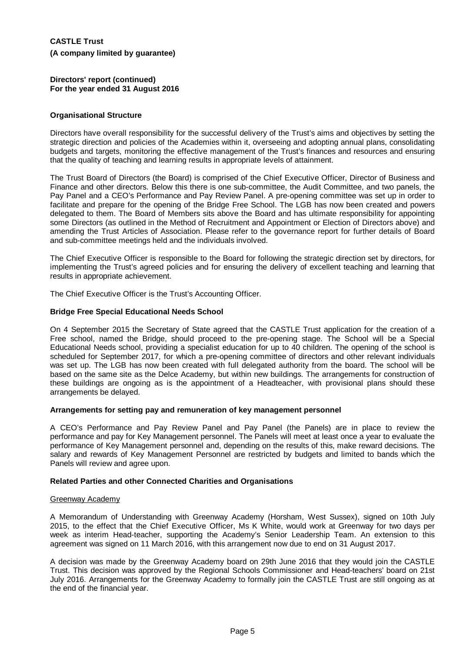#### **Directors' report (continued) For the year ended 31 August 2016**

## **Organisational Structure**

Directors have overall responsibility for the successful delivery of the Trust's aims and objectives by setting the strategic direction and policies of the Academies within it, overseeing and adopting annual plans, consolidating budgets and targets, monitoring the effective management of the Trust's finances and resources and ensuring that the quality of teaching and learning results in appropriate levels of attainment.

The Trust Board of Directors (the Board) is comprised of the Chief Executive Officer, Director of Business and Finance and other directors. Below this there is one sub-committee, the Audit Committee, and two panels, the Pay Panel and a CEO's Performance and Pay Review Panel. A pre-opening committee was set up in order to facilitate and prepare for the opening of the Bridge Free School. The LGB has now been created and powers delegated to them. The Board of Members sits above the Board and has ultimate responsibility for appointing some Directors (as outlined in the Method of Recruitment and Appointment or Election of Directors above) and amending the Trust Articles of Association. Please refer to the governance report for further details of Board and sub-committee meetings held and the individuals involved.

The Chief Executive Officer is responsible to the Board for following the strategic direction set by directors, for implementing the Trust's agreed policies and for ensuring the delivery of excellent teaching and learning that results in appropriate achievement.

The Chief Executive Officer is the Trust's Accounting Officer.

#### **Bridge Free Special Educational Needs School**

On 4 September 2015 the Secretary of State agreed that the CASTLE Trust application for the creation of a Free school, named the Bridge, should proceed to the pre-opening stage. The School will be a Special Educational Needs school, providing a specialist education for up to 40 children. The opening of the school is scheduled for September 2017, for which a pre-opening committee of directors and other relevant individuals was set up. The LGB has now been created with full delegated authority from the board. The school will be based on the same site as the Delce Academy, but within new buildings. The arrangements for construction of these buildings are ongoing as is the appointment of a Headteacher, with provisional plans should these arrangements be delayed.

#### **Arrangements for setting pay and remuneration of key management personnel**

A CEO's Performance and Pay Review Panel and Pay Panel (the Panels) are in place to review the performance and pay for Key Management personnel. The Panels will meet at least once a year to evaluate the performance of Key Management personnel and, depending on the results of this, make reward decisions. The salary and rewards of Key Management Personnel are restricted by budgets and limited to bands which the Panels will review and agree upon.

# **Related Parties and other Connected Charities and Organisations**

#### Greenway Academy

A Memorandum of Understanding with Greenway Academy (Horsham, West Sussex), signed on 10th July 2015, to the effect that the Chief Executive Officer, Ms K White, would work at Greenway for two days per week as interim Head-teacher, supporting the Academy's Senior Leadership Team. An extension to this agreement was signed on 11 March 2016, with this arrangement now due to end on 31 August 2017.

A decision was made by the Greenway Academy board on 29th June 2016 that they would join the CASTLE Trust. This decision was approved by the Regional Schools Commissioner and Head-teachers' board on 21st July 2016. Arrangements for the Greenway Academy to formally join the CASTLE Trust are still ongoing as at the end of the financial year.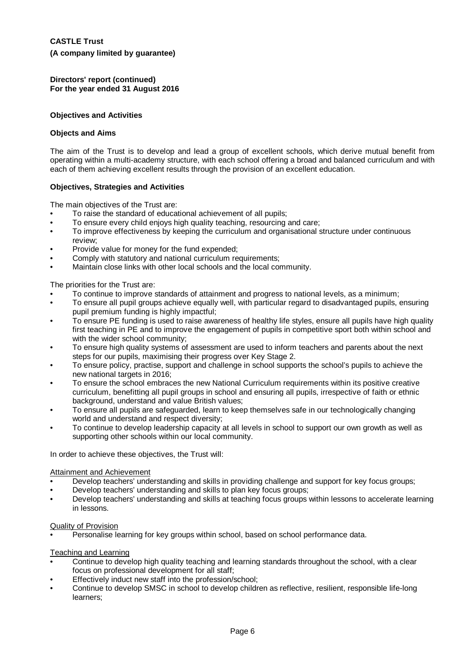**Directors' report (continued) For the year ended 31 August 2016**

## **Objectives and Activities**

#### **Objects and Aims**

The aim of the Trust is to develop and lead a group of excellent schools, which derive mutual benefit from operating within a multi-academy structure, with each school offering a broad and balanced curriculum and with each of them achieving excellent results through the provision of an excellent education.

#### **Objectives, Strategies and Activities**

The main objectives of the Trust are:

- To raise the standard of educational achievement of all pupils;
- To ensure every child enjoys high quality teaching, resourcing and care;
- To improve effectiveness by keeping the curriculum and organisational structure under continuous review;
- Provide value for money for the fund expended;
- Comply with statutory and national curriculum requirements;
- Maintain close links with other local schools and the local community.

The priorities for the Trust are:

- To continue to improve standards of attainment and progress to national levels, as a minimum;
- To ensure all pupil groups achieve equally well, with particular regard to disadvantaged pupils, ensuring pupil premium funding is highly impactful;
- To ensure PE funding is used to raise awareness of healthy life styles, ensure all pupils have high quality first teaching in PE and to improve the engagement of pupils in competitive sport both within school and with the wider school community;
- To ensure high quality systems of assessment are used to inform teachers and parents about the next steps for our pupils, maximising their progress over Key Stage 2.
- To ensure policy, practise, support and challenge in school supports the school's pupils to achieve the new national targets in 2016;
- To ensure the school embraces the new National Curriculum requirements within its positive creative curriculum, benefitting all pupil groups in school and ensuring all pupils, irrespective of faith or ethnic background, understand and value British values;
- To ensure all pupils are safeguarded, learn to keep themselves safe in our technologically changing world and understand and respect diversity;
- To continue to develop leadership capacity at all levels in school to support our own growth as well as supporting other schools within our local community.

In order to achieve these objectives, the Trust will:

#### Attainment and Achievement

- Develop teachers' understanding and skills in providing challenge and support for key focus groups;
- Develop teachers' understanding and skills to plan key focus groups;
- Develop teachers' understanding and skills at teaching focus groups within lessons to accelerate learning in lessons.

#### Quality of Provision

Personalise learning for key groups within school, based on school performance data.

# Teaching and Learning

- Continue to develop high quality teaching and learning standards throughout the school, with a clear focus on professional development for all staff;
- Effectively induct new staff into the profession/school;
- Continue to develop SMSC in school to develop children as reflective, resilient, responsible life-long learners;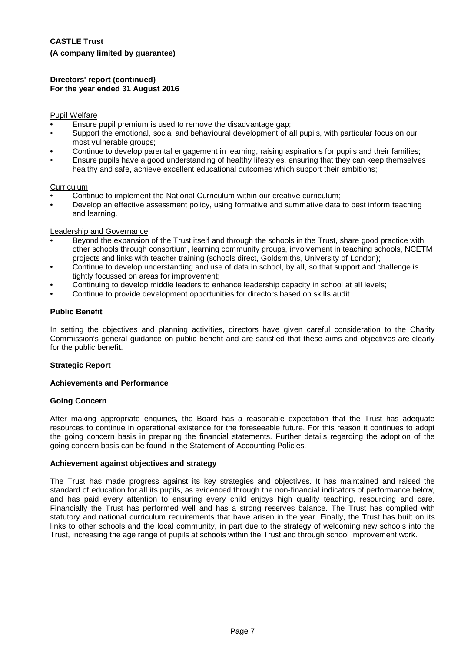# **Directors' report (continued) For the year ended 31 August 2016**

## Pupil Welfare

- Ensure pupil premium is used to remove the disadvantage gap;
- Support the emotional, social and behavioural development of all pupils, with particular focus on our most vulnerable groups;
- Continue to develop parental engagement in learning, raising aspirations for pupils and their families;
- Ensure pupils have a good understanding of healthy lifestyles, ensuring that they can keep themselves healthy and safe, achieve excellent educational outcomes which support their ambitions;

#### **Curriculum**

- Continue to implement the National Curriculum within our creative curriculum;
- Develop an effective assessment policy, using formative and summative data to best inform teaching and learning.

#### Leadership and Governance

- Beyond the expansion of the Trust itself and through the schools in the Trust, share good practice with other schools through consortium, learning community groups, involvement in teaching schools, NCETM projects and links with teacher training (schools direct, Goldsmiths, University of London);
- Continue to develop understanding and use of data in school, by all, so that support and challenge is tightly focussed on areas for improvement;
- Continuing to develop middle leaders to enhance leadership capacity in school at all levels;
- Continue to provide development opportunities for directors based on skills audit.

#### **Public Benefit**

In setting the objectives and planning activities, directors have given careful consideration to the Charity Commission's general guidance on public benefit and are satisfied that these aims and objectives are clearly for the public benefit.

# **Strategic Report**

#### **Achievements and Performance**

#### **Going Concern**

After making appropriate enquiries, the Board has a reasonable expectation that the Trust has adequate resources to continue in operational existence for the foreseeable future. For this reason it continues to adopt the going concern basis in preparing the financial statements. Further details regarding the adoption of the going concern basis can be found in the Statement of Accounting Policies.

#### **Achievement against objectives and strategy**

The Trust has made progress against its key strategies and objectives. It has maintained and raised the standard of education for all its pupils, as evidenced through the non-financial indicators of performance below, and has paid every attention to ensuring every child enjoys high quality teaching, resourcing and care. Financially the Trust has performed well and has a strong reserves balance. The Trust has complied with statutory and national curriculum requirements that have arisen in the year. Finally, the Trust has built on its links to other schools and the local community, in part due to the strategy of welcoming new schools into the Trust, increasing the age range of pupils at schools within the Trust and through school improvement work.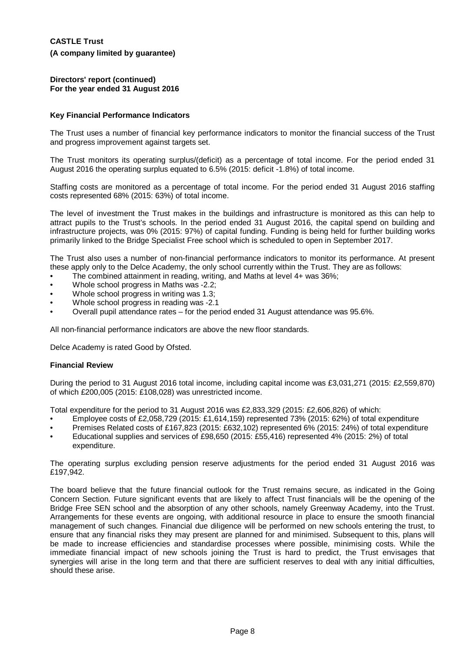**Directors' report (continued) For the year ended 31 August 2016**

#### **Key Financial Performance Indicators**

The Trust uses a number of financial key performance indicators to monitor the financial success of the Trust and progress improvement against targets set.

The Trust monitors its operating surplus/(deficit) as a percentage of total income. For the period ended 31 August 2016 the operating surplus equated to 6.5% (2015: deficit -1.8%) of total income.

Staffing costs are monitored as a percentage of total income. For the period ended 31 August 2016 staffing costs represented 68% (2015: 63%) of total income.

The level of investment the Trust makes in the buildings and infrastructure is monitored as this can help to attract pupils to the Trust's schools. In the period ended 31 August 2016, the capital spend on building and infrastructure projects, was 0% (2015: 97%) of capital funding. Funding is being held for further building works primarily linked to the Bridge Specialist Free school which is scheduled to open in September 2017.

The Trust also uses a number of non-financial performance indicators to monitor its performance. At present these apply only to the Delce Academy, the only school currently within the Trust. They are as follows:

- The combined attainment in reading, writing, and Maths at level 4+ was 36%;
- Whole school progress in Maths was -2.2;
- Whole school progress in writing was 1.3;
- Whole school progress in reading was -2.1
- Overall pupil attendance rates for the period ended 31 August attendance was 95.6%.

All non-financial performance indicators are above the new floor standards.

Delce Academy is rated Good by Ofsted.

#### **Financial Review**

During the period to 31 August 2016 total income, including capital income was £3,031,271 (2015: £2,559,870) of which £200,005 (2015: £108,028) was unrestricted income.

Total expenditure for the period to 31 August 2016 was £2,833,329 (2015: £2,606,826) of which:

- Employee costs of £2,058,729 (2015: £1,614,159) represented 73% (2015: 62%) of total expenditure
- Premises Related costs of £167,823 (2015: £632,102) represented 6% (2015: 24%) of total expenditure
- Educational supplies and services of £98,650 (2015: £55,416) represented 4% (2015: 2%) of total expenditure.

The operating surplus excluding pension reserve adjustments for the period ended 31 August 2016 was £197.942.

The board believe that the future financial outlook for the Trust remains secure, as indicated in the Going Concern Section. Future significant events that are likely to affect Trust financials will be the opening of the Bridge Free SEN school and the absorption of any other schools, namely Greenway Academy, into the Trust. Arrangements for these events are ongoing, with additional resource in place to ensure the smooth financial management of such changes. Financial due diligence will be performed on new schools entering the trust, to ensure that any financial risks they may present are planned for and minimised. Subsequent to this, plans will be made to increase efficiencies and standardise processes where possible, minimising costs. While the immediate financial impact of new schools joining the Trust is hard to predict, the Trust envisages that synergies will arise in the long term and that there are sufficient reserves to deal with any initial difficulties, should these arise.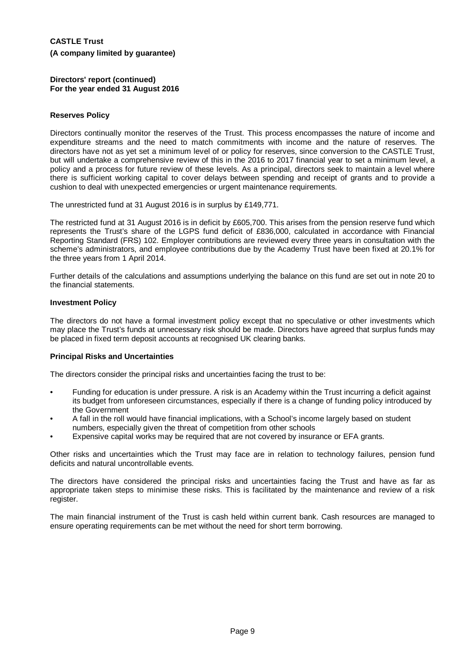**Directors' report (continued) For the year ended 31 August 2016**

#### **Reserves Policy**

Directors continually monitor the reserves of the Trust. This process encompasses the nature of income and expenditure streams and the need to match commitments with income and the nature of reserves. The directors have not as yet set a minimum level of or policy for reserves, since conversion to the CASTLE Trust, but will undertake a comprehensive review of this in the 2016 to 2017 financial year to set a minimum level, a policy and a process for future review of these levels. As a principal, directors seek to maintain a level where there is sufficient working capital to cover delays between spending and receipt of grants and to provide a cushion to deal with unexpected emergencies or urgent maintenance requirements.

The unrestricted fund at 31 August 2016 is in surplus by £149,771.

The restricted fund at 31 August 2016 is in deficit by £605,700. This arises from the pension reserve fund which represents the Trust's share of the LGPS fund deficit of £836,000, calculated in accordance with Financial Reporting Standard (FRS) 102. Employer contributions are reviewed every three years in consultation with the scheme's administrators, and employee contributions due by the Academy Trust have been fixed at 20.1% for the three years from 1 April 2014.

Further details of the calculations and assumptions underlying the balance on this fund are set out in note 20 to the financial statements.

#### **Investment Policy**

The directors do not have a formal investment policy except that no speculative or other investments which may place the Trust's funds at unnecessary risk should be made. Directors have agreed that surplus funds may be placed in fixed term deposit accounts at recognised UK clearing banks.

# **Principal Risks and Uncertainties**

The directors consider the principal risks and uncertainties facing the trust to be:

- Funding for education is under pressure. A risk is an Academy within the Trust incurring a deficit against its budget from unforeseen circumstances, especially if there is a change of funding policy introduced by the Government
- A fall in the roll would have financial implications, with a School's income largely based on student numbers, especially given the threat of competition from other schools
- Expensive capital works may be required that are not covered by insurance or EFA grants.

Other risks and uncertainties which the Trust may face are in relation to technology failures, pension fund deficits and natural uncontrollable events.

The directors have considered the principal risks and uncertainties facing the Trust and have as far as appropriate taken steps to minimise these risks. This is facilitated by the maintenance and review of a risk register.

The main financial instrument of the Trust is cash held within current bank. Cash resources are managed to ensure operating requirements can be met without the need for short term borrowing.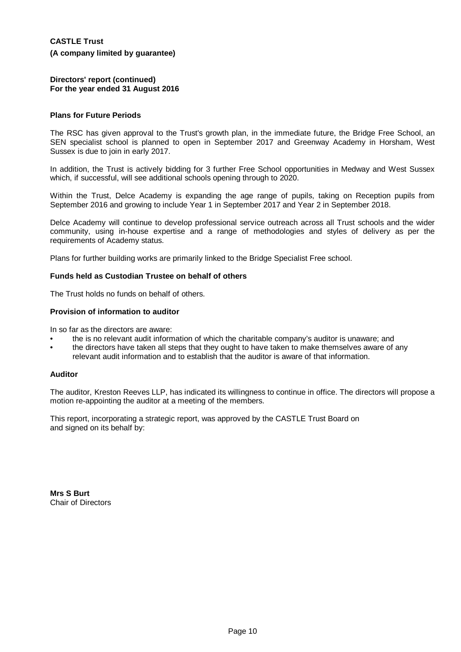## **Directors' report (continued) For the year ended 31 August 2016**

## **Plans for Future Periods**

The RSC has given approval to the Trust's growth plan, in the immediate future, the Bridge Free School, an SEN specialist school is planned to open in September 2017 and Greenway Academy in Horsham, West Sussex is due to join in early 2017.

In addition, the Trust is actively bidding for 3 further Free School opportunities in Medway and West Sussex which, if successful, will see additional schools opening through to 2020.

Within the Trust, Delce Academy is expanding the age range of pupils, taking on Reception pupils from September 2016 and growing to include Year 1 in September 2017 and Year 2 in September 2018.

Delce Academy will continue to develop professional service outreach across all Trust schools and the wider community, using in-house expertise and a range of methodologies and styles of delivery as per the requirements of Academy status.

Plans for further building works are primarily linked to the Bridge Specialist Free school.

#### **Funds held as Custodian Trustee on behalf of others**

The Trust holds no funds on behalf of others.

#### **Provision of information to auditor**

In so far as the directors are aware:

- the is no relevant audit information of which the charitable company's auditor is unaware; and
- the directors have taken all steps that they ought to have taken to make themselves aware of any relevant audit information and to establish that the auditor is aware of that information.

# **Auditor**

The auditor, Kreston Reeves LLP, has indicated its willingness to continue in office. The directors will propose a motion re-appointing the auditor at a meeting of the members.

This report, incorporating a strategic report, was approved by the CASTLE Trust Board on and signed on its behalf by:

**Mrs S Burt** Chair of Directors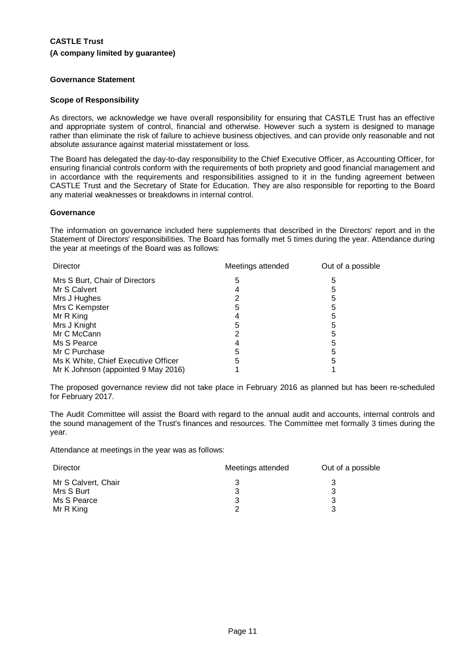#### **Governance Statement**

## **Scope of Responsibility**

As directors, we acknowledge we have overall responsibility for ensuring that CASTLE Trust has an effective and appropriate system of control, financial and otherwise. However such a system is designed to manage rather than eliminate the risk of failure to achieve business objectives, and can provide only reasonable and not absolute assurance against material misstatement or loss.

The Board has delegated the day-to-day responsibility to the Chief Executive Officer, as Accounting Officer, for ensuring financial controls conform with the requirements of both propriety and good financial management and in accordance with the requirements and responsibilities assigned to it in the funding agreement between CASTLE Trust and the Secretary of State for Education. They are also responsible for reporting to the Board any material weaknesses or breakdowns in internal control.

#### **Governance**

The information on governance included here supplements that described in the Directors' report and in the Statement of Directors' responsibilities. The Board has formally met 5 times during the year. Attendance during the year at meetings of the Board was as follows:

| Director                            | Meetings attended | Out of a possible |
|-------------------------------------|-------------------|-------------------|
| Mrs S Burt, Chair of Directors      | 5                 |                   |
| Mr S Calvert                        |                   |                   |
| Mrs J Hughes                        |                   |                   |
| Mrs C Kempster                      | 5                 |                   |
| Mr R King                           |                   |                   |
| Mrs J Knight                        |                   |                   |
| Mr C McCann                         |                   |                   |
| Ms S Pearce                         |                   |                   |
| Mr C Purchase                       |                   |                   |
| Ms K White, Chief Executive Officer | 5                 | 5                 |
| Mr K Johnson (appointed 9 May 2016) |                   |                   |

The proposed governance review did not take place in February 2016 as planned but has been re-scheduled for February 2017.

The Audit Committee will assist the Board with regard to the annual audit and accounts, internal controls and the sound management of the Trust's finances and resources. The Committee met formally 3 times during the year.

Attendance at meetings in the year was as follows:

| Director            | Meetings attended | Out of a possible |
|---------------------|-------------------|-------------------|
| Mr S Calvert, Chair |                   | З                 |
| Mrs S Burt          | 3                 | 3                 |
| Ms S Pearce         | 3                 | 3                 |
| Mr R King           |                   | વ                 |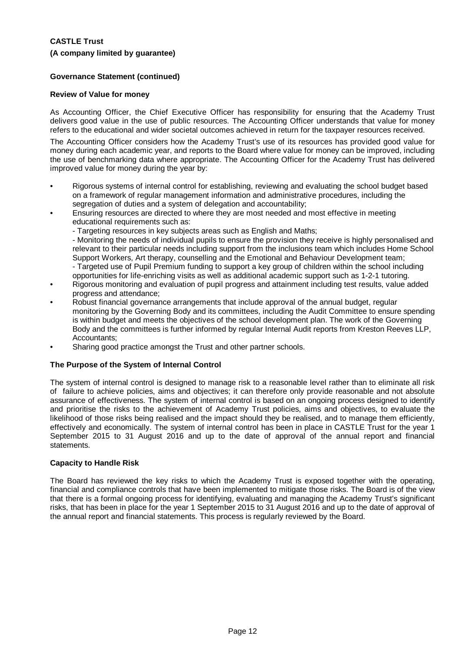**(A company limited by guarantee)**

# **Governance Statement (continued)**

## **Review of Value for money**

As Accounting Officer, the Chief Executive Officer has responsibility for ensuring that the Academy Trust delivers good value in the use of public resources. The Accounting Officer understands that value for money refers to the educational and wider societal outcomes achieved in return for the taxpayer resources received.

The Accounting Officer considers how the Academy Trust's use of its resources has provided good value for money during each academic year, and reports to the Board where value for money can be improved, including the use of benchmarking data where appropriate. The Accounting Officer for the Academy Trust has delivered improved value for money during the year by:

- Rigorous systems of internal control for establishing, reviewing and evaluating the school budget based on a framework of regular management information and administrative procedures, including the segregation of duties and a system of delegation and accountability:
- Ensuring resources are directed to where they are most needed and most effective in meeting educational requirements such as:
	- Targeting resources in key subjects areas such as English and Maths;

- Monitoring the needs of individual pupils to ensure the provision they receive is highly personalised and relevant to their particular needs including support from the inclusions team which includes Home School Support Workers, Art therapy, counselling and the Emotional and Behaviour Development team;

- Targeted use of Pupil Premium funding to support a key group of children within the school including opportunities for life-enriching visits as well as additional academic support such as 1-2-1 tutoring.
- Rigorous monitoring and evaluation of pupil progress and attainment including test results, value added progress and attendance;
- Robust financial governance arrangements that include approval of the annual budget, regular monitoring by the Governing Body and its committees, including the Audit Committee to ensure spending is within budget and meets the objectives of the school development plan. The work of the Governing Body and the committees is further informed by regular Internal Audit reports from Kreston Reeves LLP, Accountants;
- Sharing good practice amongst the Trust and other partner schools.

# **The Purpose of the System of Internal Control**

The system of internal control is designed to manage risk to a reasonable level rather than to eliminate all risk of failure to achieve policies, aims and objectives; it can therefore only provide reasonable and not absolute assurance of effectiveness. The system of internal control is based on an ongoing process designed to identify and prioritise the risks to the achievement of Academy Trust policies, aims and objectives, to evaluate the likelihood of those risks being realised and the impact should they be realised, and to manage them efficiently, effectively and economically. The system of internal control has been in place in CASTLE Trust for the year 1 September 2015 to 31 August 2016 and up to the date of approval of the annual report and financial statements.

#### **Capacity to Handle Risk**

The Board has reviewed the key risks to which the Academy Trust is exposed together with the operating, financial and compliance controls that have been implemented to mitigate those risks. The Board is of the view that there is a formal ongoing process for identifying, evaluating and managing the Academy Trust's significant risks, that has been in place for the year 1 September 2015 to 31 August 2016 and up to the date of approval of the annual report and financial statements. This process is regularly reviewed by the Board.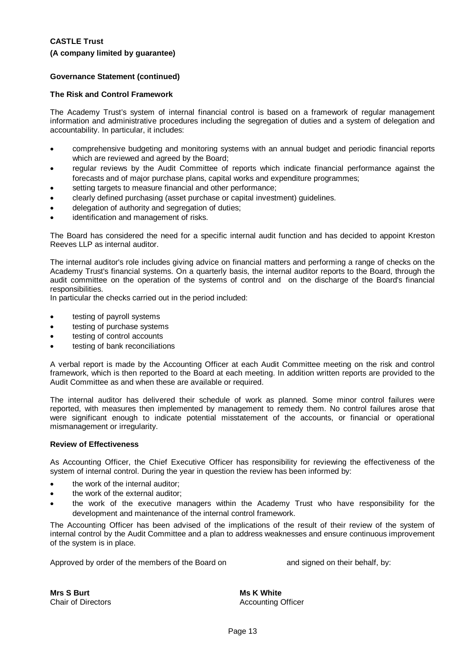**(A company limited by guarantee)**

## **Governance Statement (continued)**

#### **The Risk and Control Framework**

The Academy Trust's system of internal financial control is based on a framework of regular management information and administrative procedures including the segregation of duties and a system of delegation and accountability. In particular, it includes:

- � comprehensive budgeting and monitoring systems with an annual budget and periodic financial reports which are reviewed and agreed by the Board;
- regular reviews by the Audit Committee of reports which indicate financial performance against the forecasts and of major purchase plans, capital works and expenditure programmes;
- setting targets to measure financial and other performance;
- � clearly defined purchasing (asset purchase or capital investment) guidelines.
- delegation of authority and segregation of duties;
- � identification and management of risks.

The Board has considered the need for a specific internal audit function and has decided to appoint Kreston Reeves LLP as internal auditor.

The internal auditor's role includes giving advice on financial matters and performing a range of checks on the Academy Trust's financial systems. On a quarterly basis, the internal auditor reports to the Board, through the audit committee on the operation of the systems of control and on the discharge of the Board's financial responsibilities.

In particular the checks carried out in the period included:

- testing of payroll systems
- testing of purchase systems
- testing of control accounts
- testing of bank reconciliations

A verbal report is made by the Accounting Officer at each Audit Committee meeting on the risk and control framework, which is then reported to the Board at each meeting. In addition written reports are provided to the Audit Committee as and when these are available or required.

The internal auditor has delivered their schedule of work as planned. Some minor control failures were reported, with measures then implemented by management to remedy them. No control failures arose that were significant enough to indicate potential misstatement of the accounts, or financial or operational mismanagement or irregularity.

## **Review of Effectiveness**

As Accounting Officer, the Chief Executive Officer has responsibility for reviewing the effectiveness of the system of internal control. During the year in question the review has been informed by:

- the work of the internal auditor;
- the work of the external auditor;
- � the work of the executive managers within the Academy Trust who have responsibility for the development and maintenance of the internal control framework.

The Accounting Officer has been advised of the implications of the result of their review of the system of internal control by the Audit Committee and a plan to address weaknesses and ensure continuous improvement of the system is in place.

Approved by order of the members of the Board on and signed on their behalf, by:

**Mrs S Burt** Chair of Directors **Ms K White** Accounting Officer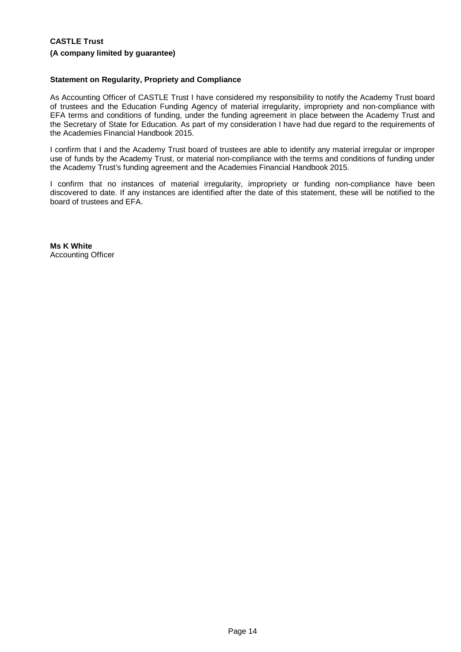# **Statement on Regularity, Propriety and Compliance**

As Accounting Officer of CASTLE Trust I have considered my responsibility to notify the Academy Trust board of trustees and the Education Funding Agency of material irregularity, impropriety and non-compliance with EFA terms and conditions of funding, under the funding agreement in place between the Academy Trust and the Secretary of State for Education. As part of my consideration I have had due regard to the requirements of the Academies Financial Handbook 2015.

I confirm that I and the Academy Trust board of trustees are able to identify any material irregular or improper use of funds by the Academy Trust, or material non-compliance with the terms and conditions of funding under the Academy Trust's funding agreement and the Academies Financial Handbook 2015.

I confirm that no instances of material irregularity, impropriety or funding non-compliance have been discovered to date. If any instances are identified after the date of this statement, these will be notified to the board of trustees and EFA.

**Ms K White** Accounting Officer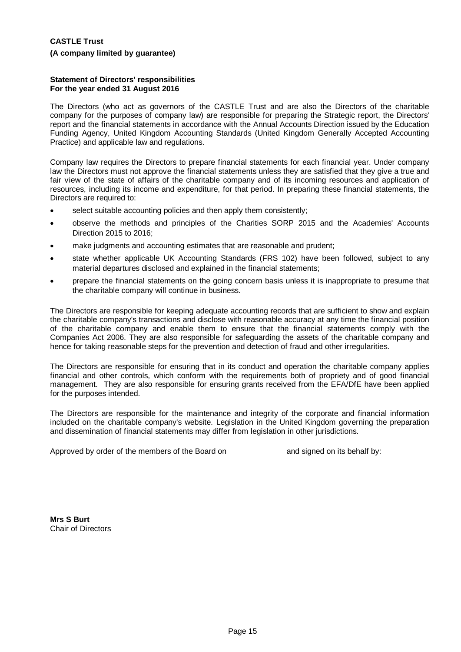#### **Statement of Directors' responsibilities For the year ended 31 August 2016**

The Directors (who act as governors of the CASTLE Trust and are also the Directors of the charitable company for the purposes of company law) are responsible for preparing the Strategic report, the Directors' report and the financial statements in accordance with the Annual Accounts Direction issued by the Education Funding Agency, United Kingdom Accounting Standards (United Kingdom Generally Accepted Accounting Practice) and applicable law and regulations.

Company law requires the Directors to prepare financial statements for each financial year. Under company law the Directors must not approve the financial statements unless they are satisfied that they give a true and fair view of the state of affairs of the charitable company and of its incoming resources and application of resources, including its income and expenditure, for that period. In preparing these financial statements, the Directors are required to:

- select suitable accounting policies and then apply them consistently;
- � observe the methods and principles of the Charities SORP 2015 and the Academies' Accounts Direction 2015 to 2016;
- � make judgments and accounting estimates that are reasonable and prudent;
- � state whether applicable UK Accounting Standards (FRS 102) have been followed, subject to any material departures disclosed and explained in the financial statements;
- � prepare the financial statements on the going concern basis unless it is inappropriate to presume that the charitable company will continue in business.

The Directors are responsible for keeping adequate accounting records that are sufficient to show and explain the charitable company's transactions and disclose with reasonable accuracy at any time the financial position of the charitable company and enable them to ensure that the financial statements comply with the Companies Act 2006. They are also responsible for safeguarding the assets of the charitable company and hence for taking reasonable steps for the prevention and detection of fraud and other irregularities.

The Directors are responsible for ensuring that in its conduct and operation the charitable company applies financial and other controls, which conform with the requirements both of propriety and of good financial management. They are also responsible for ensuring grants received from the EFA/DfE have been applied for the purposes intended.

The Directors are responsible for the maintenance and integrity of the corporate and financial information included on the charitable company's website. Legislation in the United Kingdom governing the preparation and dissemination of financial statements may differ from legislation in other jurisdictions.

Approved by order of the members of the Board on and signed on its behalf by:

**Mrs S Burt** Chair of Directors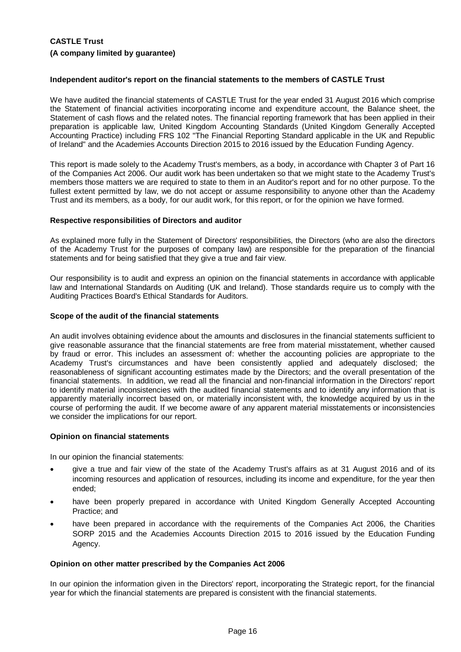#### **Independent auditor's report on the financial statements to the members of CASTLE Trust**

We have audited the financial statements of CASTLE Trust for the year ended 31 August 2016 which comprise the Statement of financial activities incorporating income and expenditure account, the Balance sheet, the Statement of cash flows and the related notes. The financial reporting framework that has been applied in their preparation is applicable law, United Kingdom Accounting Standards (United Kingdom Generally Accepted Accounting Practice) including FRS 102 "The Financial Reporting Standard applicable in the UK and Republic of Ireland" and the Academies Accounts Direction 2015 to 2016 issued by the Education Funding Agency.

This report is made solely to the Academy Trust's members, as a body, in accordance with Chapter 3 of Part 16 of the Companies Act 2006. Our audit work has been undertaken so that we might state to the Academy Trust's members those matters we are required to state to them in an Auditor's report and for no other purpose. To the fullest extent permitted by law, we do not accept or assume responsibility to anyone other than the Academy Trust and its members, as a body, for our audit work, for this report, or for the opinion we have formed.

#### **Respective responsibilities of Directors and auditor**

As explained more fully in the Statement of Directors' responsibilities, the Directors (who are also the directors of the Academy Trust for the purposes of company law) are responsible for the preparation of the financial statements and for being satisfied that they give a true and fair view.

Our responsibility is to audit and express an opinion on the financial statements in accordance with applicable law and International Standards on Auditing (UK and Ireland). Those standards require us to comply with the Auditing Practices Board's Ethical Standards for Auditors.

#### **Scope of the audit of the financial statements**

An audit involves obtaining evidence about the amounts and disclosures in the financial statements sufficient to give reasonable assurance that the financial statements are free from material misstatement, whether caused by fraud or error. This includes an assessment of: whether the accounting policies are appropriate to the Academy Trust's circumstances and have been consistently applied and adequately disclosed; the reasonableness of significant accounting estimates made by the Directors; and the overall presentation of the financial statements. In addition, we read all the financial and non-financial information in the Directors' report to identify material inconsistencies with the audited financial statements and to identify any information that is apparently materially incorrect based on, or materially inconsistent with, the knowledge acquired by us in the course of performing the audit. If we become aware of any apparent material misstatements or inconsistencies we consider the implications for our report.

#### **Opinion on financial statements**

In our opinion the financial statements:

- � give a true and fair view of the state of the Academy Trust's affairs as at 31 August 2016 and of its incoming resources and application of resources, including its income and expenditure, for the year then ended;
- have been properly prepared in accordance with United Kingdom Generally Accepted Accounting Practice; and
- have been prepared in accordance with the requirements of the Companies Act 2006, the Charities SORP 2015 and the Academies Accounts Direction 2015 to 2016 issued by the Education Funding Agency.

#### **Opinion on other matter prescribed by the Companies Act 2006**

In our opinion the information given in the Directors' report, incorporating the Strategic report, for the financial year for which the financial statements are prepared is consistent with the financial statements.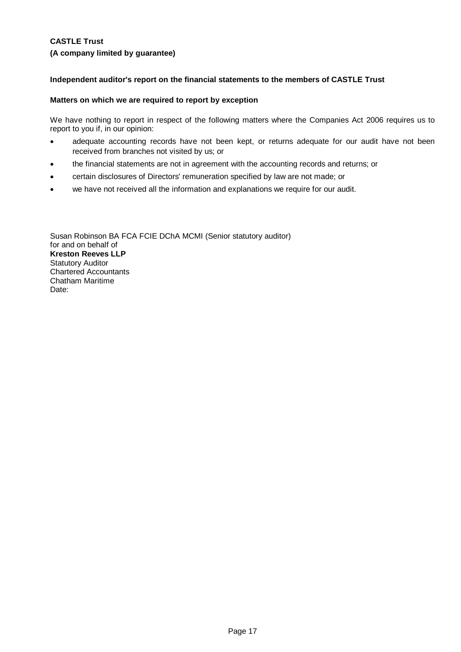# **Independent auditor's report on the financial statements to the members of CASTLE Trust**

## **Matters on which we are required to report by exception**

We have nothing to report in respect of the following matters where the Companies Act 2006 requires us to report to you if, in our opinion:

- adequate accounting records have not been kept, or returns adequate for our audit have not been received from branches not visited by us; or
- � the financial statements are not in agreement with the accounting records and returns; or
- � certain disclosures of Directors' remuneration specified by law are not made; or
- we have not received all the information and explanations we require for our audit.

Susan Robinson BA FCA FCIE DChA MCMI (Senior statutory auditor) for and on behalf of **Kreston Reeves LLP** Statutory Auditor Chartered Accountants Chatham Maritime Date: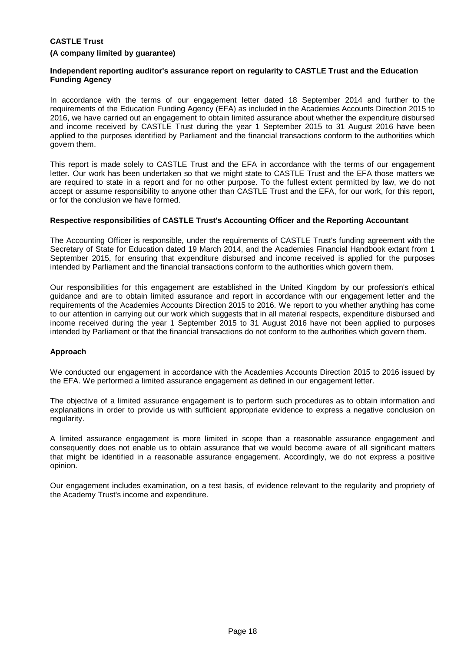#### **(A company limited by guarantee)**

#### **Independent reporting auditor's assurance report on regularity to CASTLE Trust and the Education Funding Agency**

In accordance with the terms of our engagement letter dated 18 September 2014 and further to the requirements of the Education Funding Agency (EFA) as included in the Academies Accounts Direction 2015 to 2016, we have carried out an engagement to obtain limited assurance about whether the expenditure disbursed and income received by CASTLE Trust during the year 1 September 2015 to 31 August 2016 have been applied to the purposes identified by Parliament and the financial transactions conform to the authorities which govern them.

This report is made solely to CASTLE Trust and the EFA in accordance with the terms of our engagement letter. Our work has been undertaken so that we might state to CASTLE Trust and the EFA those matters we are required to state in a report and for no other purpose. To the fullest extent permitted by law, we do not accept or assume responsibility to anyone other than CASTLE Trust and the EFA, for our work, for this report, or for the conclusion we have formed.

#### **Respective responsibilities of CASTLE Trust's Accounting Officer and the Reporting Accountant**

The Accounting Officer is responsible, under the requirements of CASTLE Trust's funding agreement with the Secretary of State for Education dated 19 March 2014, and the Academies Financial Handbook extant from 1 September 2015, for ensuring that expenditure disbursed and income received is applied for the purposes intended by Parliament and the financial transactions conform to the authorities which govern them.

Our responsibilities for this engagement are established in the United Kingdom by our profession's ethical guidance and are to obtain limited assurance and report in accordance with our engagement letter and the requirements of the Academies Accounts Direction 2015 to 2016. We report to you whether anything has come to our attention in carrying out our work which suggests that in all material respects, expenditure disbursed and income received during the year 1 September 2015 to 31 August 2016 have not been applied to purposes intended by Parliament or that the financial transactions do not conform to the authorities which govern them.

# **Approach**

We conducted our engagement in accordance with the Academies Accounts Direction 2015 to 2016 issued by the EFA. We performed a limited assurance engagement as defined in our engagement letter.

The objective of a limited assurance engagement is to perform such procedures as to obtain information and explanations in order to provide us with sufficient appropriate evidence to express a negative conclusion on regularity.

A limited assurance engagement is more limited in scope than a reasonable assurance engagement and consequently does not enable us to obtain assurance that we would become aware of all significant matters that might be identified in a reasonable assurance engagement. Accordingly, we do not express a positive opinion.

Our engagement includes examination, on a test basis, of evidence relevant to the regularity and propriety of the Academy Trust's income and expenditure.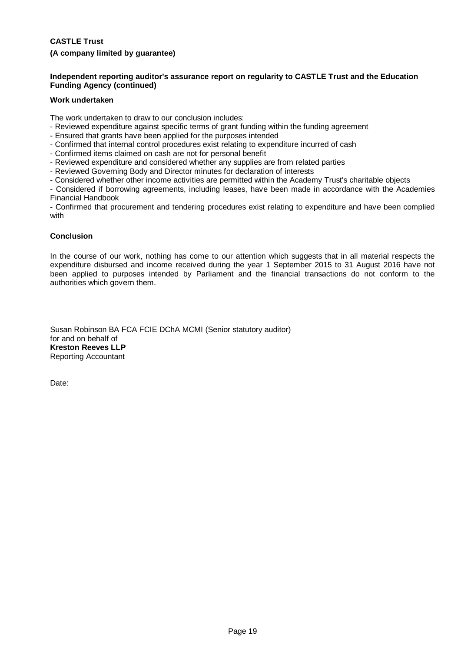# **Independent reporting auditor's assurance report on regularity to CASTLE Trust and the Education Funding Agency (continued)**

# **Work undertaken**

The work undertaken to draw to our conclusion includes:

- Reviewed expenditure against specific terms of grant funding within the funding agreement
- Ensured that grants have been applied for the purposes intended
- Confirmed that internal control procedures exist relating to expenditure incurred of cash
- Confirmed items claimed on cash are not for personal benefit
- Reviewed expenditure and considered whether any supplies are from related parties
- Reviewed Governing Body and Director minutes for declaration of interests
- Considered whether other income activities are permitted within the Academy Trust's charitable objects

- Considered if borrowing agreements, including leases, have been made in accordance with the Academies Financial Handbook

- Confirmed that procurement and tendering procedures exist relating to expenditure and have been complied with

# **Conclusion**

In the course of our work, nothing has come to our attention which suggests that in all material respects the expenditure disbursed and income received during the year 1 September 2015 to 31 August 2016 have not been applied to purposes intended by Parliament and the financial transactions do not conform to the authorities which govern them.

Susan Robinson BA FCA FCIE DChA MCMI (Senior statutory auditor) for and on behalf of **Kreston Reeves LLP** Reporting Accountant

Date: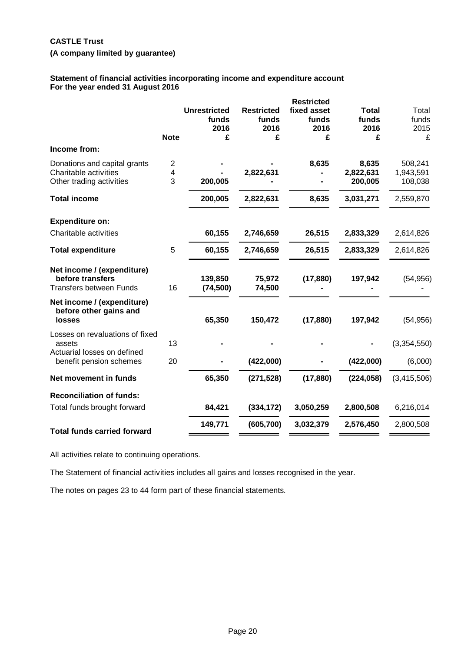# **(A company limited by guarantee)**

#### **Statement of financial activities incorporating income and expenditure account For the year ended 31 August 2016**

|                                                                                  |             |                                      |                                    | <b>Restricted</b>            |                               |                        |
|----------------------------------------------------------------------------------|-------------|--------------------------------------|------------------------------------|------------------------------|-------------------------------|------------------------|
|                                                                                  |             | <b>Unrestricted</b><br>funds<br>2016 | <b>Restricted</b><br>funds<br>2016 | fixed asset<br>funds<br>2016 | <b>Total</b><br>funds<br>2016 | Total<br>funds<br>2015 |
|                                                                                  | <b>Note</b> | £                                    | £                                  | £                            | £                             | £                      |
| Income from:                                                                     |             |                                      |                                    |                              |                               |                        |
| Donations and capital grants                                                     | 2           |                                      |                                    | 8,635                        | 8,635                         | 508,241                |
| Charitable activities                                                            | 4           |                                      | 2,822,631                          |                              | 2,822,631                     | 1,943,591              |
| Other trading activities                                                         | 3           | 200,005                              |                                    |                              | 200,005                       | 108,038                |
| <b>Total income</b>                                                              |             | 200,005                              | 2,822,631                          | 8,635                        | 3,031,271                     | 2,559,870              |
| <b>Expenditure on:</b>                                                           |             |                                      |                                    |                              |                               |                        |
| Charitable activities                                                            |             | 60,155                               | 2,746,659                          | 26,515                       | 2,833,329                     | 2,614,826              |
| <b>Total expenditure</b>                                                         | 5           | 60,155                               | 2,746,659                          | 26,515                       | 2,833,329                     | 2,614,826              |
| Net income / (expenditure)<br>before transfers<br><b>Transfers between Funds</b> | 16          | 139,850<br>(74, 500)                 | 75,972<br>74,500                   | (17, 880)                    | 197,942                       | (54, 956)              |
|                                                                                  |             |                                      |                                    |                              |                               |                        |
| Net income / (expenditure)<br>before other gains and<br>losses                   |             | 65,350                               | 150,472                            | (17, 880)                    | 197,942                       | (54, 956)              |
| Losses on revaluations of fixed                                                  |             |                                      |                                    |                              |                               |                        |
| assets                                                                           | 13          |                                      |                                    |                              |                               | (3,354,550)            |
| Actuarial losses on defined<br>benefit pension schemes                           | 20          |                                      | (422,000)                          |                              | (422,000)                     | (6,000)                |
| Net movement in funds                                                            |             | 65,350                               | (271, 528)                         | (17, 880)                    | (224, 058)                    | (3,415,506)            |
| <b>Reconciliation of funds:</b>                                                  |             |                                      |                                    |                              |                               |                        |
| Total funds brought forward                                                      |             | 84,421                               | (334, 172)                         | 3,050,259                    | 2,800,508                     | 6,216,014              |
| <b>Total funds carried forward</b>                                               |             | 149,771                              | (605, 700)                         | 3,032,379                    | 2,576,450                     | 2,800,508              |
|                                                                                  |             |                                      |                                    |                              |                               |                        |

All activities relate to continuing operations.

The Statement of financial activities includes all gains and losses recognised in the year.

The notes on pages 23 to 44 form part of these financial statements.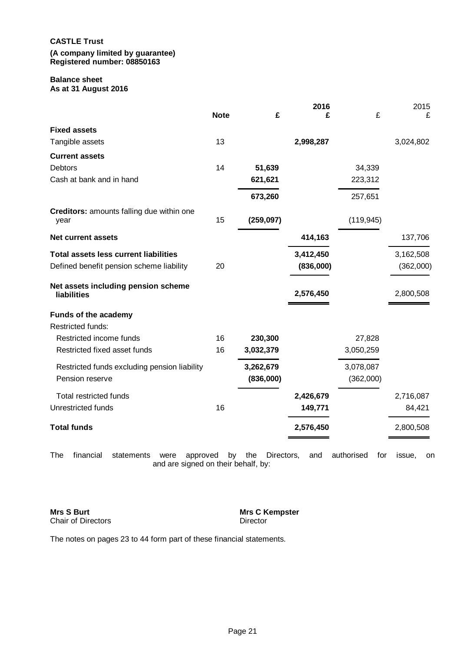**(A company limited by guarantee) Registered number: 08850163**

## **Balance sheet**

**As at 31 August 2016**

| £<br>£<br><b>Note</b><br>£<br><b>Fixed assets</b><br>13<br>2,998,287<br>Tangible assets<br><b>Current assets</b><br>14<br>51,639<br>34,339<br><b>Debtors</b><br>Cash at bank and in hand<br>621,621<br>223,312<br>673,260<br>257,651<br>Creditors: amounts falling due within one<br>15<br>(259, 097)<br>(119, 945)<br>year<br>414,163<br><b>Net current assets</b><br><b>Total assets less current liabilities</b><br>3,412,450<br>Defined benefit pension scheme liability<br>20<br>(836,000)<br>Net assets including pension scheme<br>2,576,450<br>liabilities<br><b>Funds of the academy</b><br>Restricted funds:<br>Restricted income funds<br>16<br>230,300<br>27,828<br>Restricted fixed asset funds<br>16<br>3,050,259<br>3,032,379<br>Restricted funds excluding pension liability<br>3,262,679<br>3,078,087<br>Pension reserve<br>(836,000)<br>(362,000)<br><b>Total restricted funds</b><br>2,426,679<br>Unrestricted funds<br>16<br>149,771<br><b>Total funds</b><br>2,576,450 |  | 2016 | 2015      |
|---------------------------------------------------------------------------------------------------------------------------------------------------------------------------------------------------------------------------------------------------------------------------------------------------------------------------------------------------------------------------------------------------------------------------------------------------------------------------------------------------------------------------------------------------------------------------------------------------------------------------------------------------------------------------------------------------------------------------------------------------------------------------------------------------------------------------------------------------------------------------------------------------------------------------------------------------------------------------------------------|--|------|-----------|
|                                                                                                                                                                                                                                                                                                                                                                                                                                                                                                                                                                                                                                                                                                                                                                                                                                                                                                                                                                                             |  |      | £         |
|                                                                                                                                                                                                                                                                                                                                                                                                                                                                                                                                                                                                                                                                                                                                                                                                                                                                                                                                                                                             |  |      |           |
|                                                                                                                                                                                                                                                                                                                                                                                                                                                                                                                                                                                                                                                                                                                                                                                                                                                                                                                                                                                             |  |      | 3,024,802 |
|                                                                                                                                                                                                                                                                                                                                                                                                                                                                                                                                                                                                                                                                                                                                                                                                                                                                                                                                                                                             |  |      |           |
|                                                                                                                                                                                                                                                                                                                                                                                                                                                                                                                                                                                                                                                                                                                                                                                                                                                                                                                                                                                             |  |      |           |
|                                                                                                                                                                                                                                                                                                                                                                                                                                                                                                                                                                                                                                                                                                                                                                                                                                                                                                                                                                                             |  |      |           |
|                                                                                                                                                                                                                                                                                                                                                                                                                                                                                                                                                                                                                                                                                                                                                                                                                                                                                                                                                                                             |  |      |           |
|                                                                                                                                                                                                                                                                                                                                                                                                                                                                                                                                                                                                                                                                                                                                                                                                                                                                                                                                                                                             |  |      |           |
|                                                                                                                                                                                                                                                                                                                                                                                                                                                                                                                                                                                                                                                                                                                                                                                                                                                                                                                                                                                             |  |      | 137,706   |
|                                                                                                                                                                                                                                                                                                                                                                                                                                                                                                                                                                                                                                                                                                                                                                                                                                                                                                                                                                                             |  |      | 3,162,508 |
|                                                                                                                                                                                                                                                                                                                                                                                                                                                                                                                                                                                                                                                                                                                                                                                                                                                                                                                                                                                             |  |      | (362,000) |
|                                                                                                                                                                                                                                                                                                                                                                                                                                                                                                                                                                                                                                                                                                                                                                                                                                                                                                                                                                                             |  |      | 2,800,508 |
|                                                                                                                                                                                                                                                                                                                                                                                                                                                                                                                                                                                                                                                                                                                                                                                                                                                                                                                                                                                             |  |      |           |
|                                                                                                                                                                                                                                                                                                                                                                                                                                                                                                                                                                                                                                                                                                                                                                                                                                                                                                                                                                                             |  |      |           |
|                                                                                                                                                                                                                                                                                                                                                                                                                                                                                                                                                                                                                                                                                                                                                                                                                                                                                                                                                                                             |  |      |           |
|                                                                                                                                                                                                                                                                                                                                                                                                                                                                                                                                                                                                                                                                                                                                                                                                                                                                                                                                                                                             |  |      |           |
|                                                                                                                                                                                                                                                                                                                                                                                                                                                                                                                                                                                                                                                                                                                                                                                                                                                                                                                                                                                             |  |      |           |
|                                                                                                                                                                                                                                                                                                                                                                                                                                                                                                                                                                                                                                                                                                                                                                                                                                                                                                                                                                                             |  |      | 2,716,087 |
|                                                                                                                                                                                                                                                                                                                                                                                                                                                                                                                                                                                                                                                                                                                                                                                                                                                                                                                                                                                             |  |      | 84,421    |
|                                                                                                                                                                                                                                                                                                                                                                                                                                                                                                                                                                                                                                                                                                                                                                                                                                                                                                                                                                                             |  |      | 2,800,508 |

The financial statements were approved by the Directors, and authorised for issue, on and are signed on their behalf, by:

**Mrs S Burt** Chair of Directors **Mrs C Kempster** Director

The notes on pages 23 to 44 form part of these financial statements.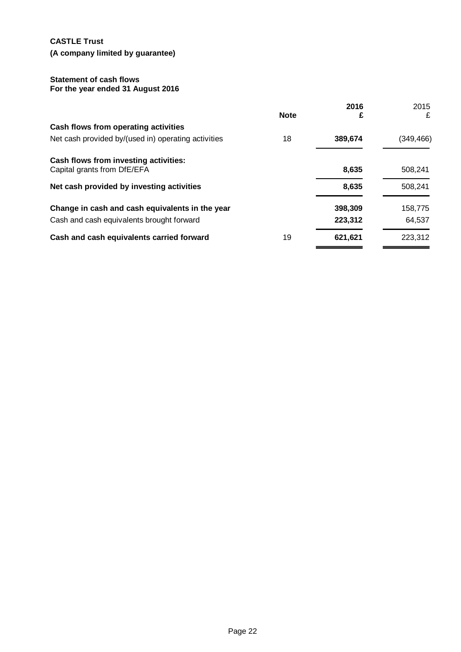# **(A company limited by guarantee)**

# **Statement of cash flows For the year ended 31 August 2016**

|                                                     | <b>Note</b> | 2016<br>£ | 2015<br>£ |
|-----------------------------------------------------|-------------|-----------|-----------|
| Cash flows from operating activities                |             |           |           |
| Net cash provided by/(used in) operating activities | 18          | 389,674   | (349,466) |
| Cash flows from investing activities:               |             |           |           |
| Capital grants from DfE/EFA                         |             | 8,635     | 508,241   |
| Net cash provided by investing activities           |             | 8,635     | 508,241   |
| Change in cash and cash equivalents in the year     |             | 398,309   | 158,775   |
| Cash and cash equivalents brought forward           |             | 223,312   | 64,537    |
| Cash and cash equivalents carried forward           | 19          | 621,621   | 223,312   |

 $\blacksquare$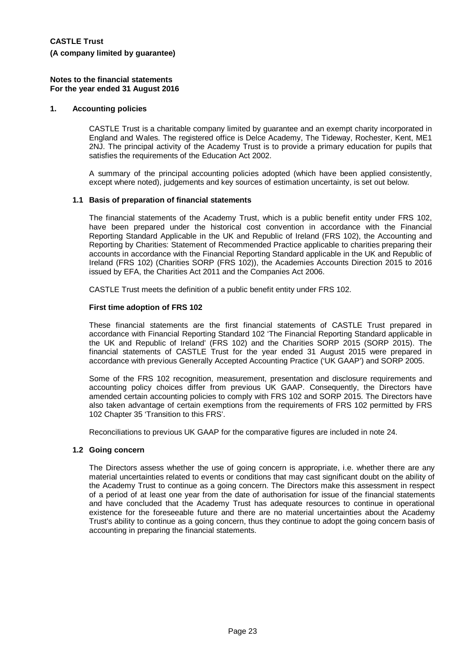#### **Notes to the financial statements For the year ended 31 August 2016**

#### **1. Accounting policies**

CASTLE Trust is a charitable company limited by guarantee and an exempt charity incorporated in England and Wales. The registered office is Delce Academy, The Tideway, Rochester, Kent, ME1 2NJ. The principal activity of the Academy Trust is to provide a primary education for pupils that satisfies the requirements of the Education Act 2002.

A summary of the principal accounting policies adopted (which have been applied consistently, except where noted), judgements and key sources of estimation uncertainty, is set out below.

#### **1.1 Basis of preparation of financial statements**

The financial statements of the Academy Trust, which is a public benefit entity under FRS 102, have been prepared under the historical cost convention in accordance with the Financial Reporting Standard Applicable in the UK and Republic of Ireland (FRS 102), the Accounting and Reporting by Charities: Statement of Recommended Practice applicable to charities preparing their accounts in accordance with the Financial Reporting Standard applicable in the UK and Republic of Ireland (FRS 102) (Charities SORP (FRS 102)), the Academies Accounts Direction 2015 to 2016 issued by EFA, the Charities Act 2011 and the Companies Act 2006.

CASTLE Trust meets the definition of a public benefit entity under FRS 102.

#### **First time adoption of FRS 102**

These financial statements are the first financial statements of CASTLE Trust prepared in accordance with Financial Reporting Standard 102 'The Financial Reporting Standard applicable in the UK and Republic of Ireland' (FRS 102) and the Charities SORP 2015 (SORP 2015). The financial statements of CASTLE Trust for the year ended 31 August 2015 were prepared in accordance with previous Generally Accepted Accounting Practice ('UK GAAP') and SORP 2005.

Some of the FRS 102 recognition, measurement, presentation and disclosure requirements and accounting policy choices differ from previous UK GAAP. Consequently, the Directors have amended certain accounting policies to comply with FRS 102 and SORP 2015. The Directors have also taken advantage of certain exemptions from the requirements of FRS 102 permitted by FRS 102 Chapter 35 'Transition to this FRS'.

Reconciliations to previous UK GAAP for the comparative figures are included in note 24.

# **1.2 Going concern**

The Directors assess whether the use of going concern is appropriate, i.e. whether there are any material uncertainties related to events or conditions that may cast significant doubt on the ability of the Academy Trust to continue as a going concern. The Directors make this assessment in respect of a period of at least one year from the date of authorisation for issue of the financial statements and have concluded that the Academy Trust has adequate resources to continue in operational existence for the foreseeable future and there are no material uncertainties about the Academy Trust's ability to continue as a going concern, thus they continue to adopt the going concern basis of accounting in preparing the financial statements.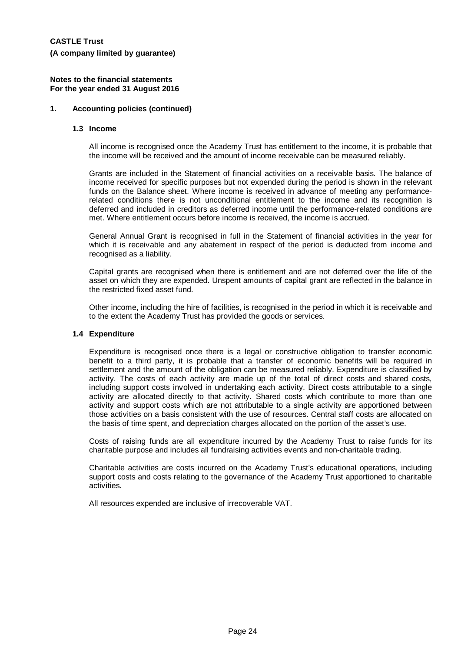**(A company limited by guarantee)**

#### **Notes to the financial statements For the year ended 31 August 2016**

## **1. Accounting policies (continued)**

#### **1.3 Income**

All income is recognised once the Academy Trust has entitlement to the income, it is probable that the income will be received and the amount of income receivable can be measured reliably.

Grants are included in the Statement of financial activities on a receivable basis. The balance of income received for specific purposes but not expended during the period is shown in the relevant funds on the Balance sheet. Where income is received in advance of meeting any performancerelated conditions there is not unconditional entitlement to the income and its recognition is deferred and included in creditors as deferred income until the performance-related conditions are met. Where entitlement occurs before income is received, the income is accrued.

General Annual Grant is recognised in full in the Statement of financial activities in the year for which it is receivable and any abatement in respect of the period is deducted from income and recognised as a liability.

Capital grants are recognised when there is entitlement and are not deferred over the life of the asset on which they are expended. Unspent amounts of capital grant are reflected in the balance in the restricted fixed asset fund.

Other income, including the hire of facilities, is recognised in the period in which it is receivable and to the extent the Academy Trust has provided the goods or services.

#### **1.4 Expenditure**

Expenditure is recognised once there is a legal or constructive obligation to transfer economic benefit to a third party, it is probable that a transfer of economic benefits will be required in settlement and the amount of the obligation can be measured reliably. Expenditure is classified by activity. The costs of each activity are made up of the total of direct costs and shared costs, including support costs involved in undertaking each activity. Direct costs attributable to a single activity are allocated directly to that activity. Shared costs which contribute to more than one activity and support costs which are not attributable to a single activity are apportioned between those activities on a basis consistent with the use of resources. Central staff costs are allocated on the basis of time spent, and depreciation charges allocated on the portion of the asset's use.

Costs of raising funds are all expenditure incurred by the Academy Trust to raise funds for its charitable purpose and includes all fundraising activities events and non-charitable trading.

Charitable activities are costs incurred on the Academy Trust's educational operations, including support costs and costs relating to the governance of the Academy Trust apportioned to charitable activities.

All resources expended are inclusive of irrecoverable VAT.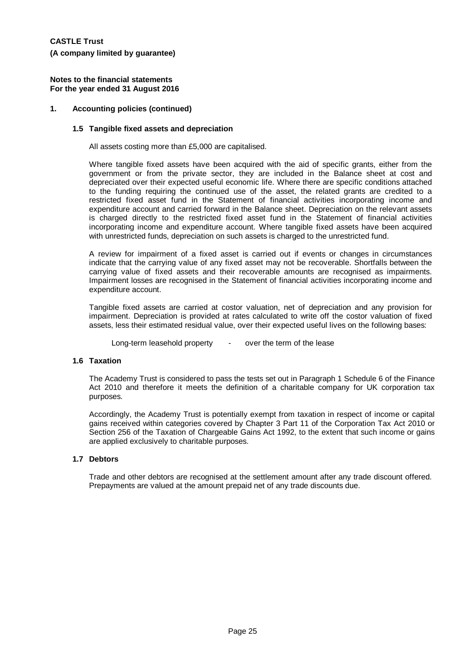**(A company limited by guarantee)**

#### **Notes to the financial statements For the year ended 31 August 2016**

## **1. Accounting policies (continued)**

#### **1.5 Tangible fixed assets and depreciation**

All assets costing more than £5,000 are capitalised.

Where tangible fixed assets have been acquired with the aid of specific grants, either from the government or from the private sector, they are included in the Balance sheet at cost and depreciated over their expected useful economic life. Where there are specific conditions attached to the funding requiring the continued use of the asset, the related grants are credited to a restricted fixed asset fund in the Statement of financial activities incorporating income and expenditure account and carried forward in the Balance sheet. Depreciation on the relevant assets is charged directly to the restricted fixed asset fund in the Statement of financial activities incorporating income and expenditure account. Where tangible fixed assets have been acquired with unrestricted funds, depreciation on such assets is charged to the unrestricted fund.

A review for impairment of a fixed asset is carried out if events or changes in circumstances indicate that the carrying value of any fixed asset may not be recoverable. Shortfalls between the carrying value of fixed assets and their recoverable amounts are recognised as impairments. Impairment losses are recognised in the Statement of financial activities incorporating income and expenditure account.

Tangible fixed assets are carried at costor valuation, net of depreciation and any provision for impairment. Depreciation is provided at rates calculated to write off the costor valuation of fixed assets, less their estimated residual value, over their expected useful lives on the following bases:

Long-term leasehold property - over the term of the lease

# **1.6 Taxation**

The Academy Trust is considered to pass the tests set out in Paragraph 1 Schedule 6 of the Finance Act 2010 and therefore it meets the definition of a charitable company for UK corporation tax purposes.

Accordingly, the Academy Trust is potentially exempt from taxation in respect of income or capital gains received within categories covered by Chapter 3 Part 11 of the Corporation Tax Act 2010 or Section 256 of the Taxation of Chargeable Gains Act 1992, to the extent that such income or gains are applied exclusively to charitable purposes.

# **1.7 Debtors**

Trade and other debtors are recognised at the settlement amount after any trade discount offered. Prepayments are valued at the amount prepaid net of any trade discounts due.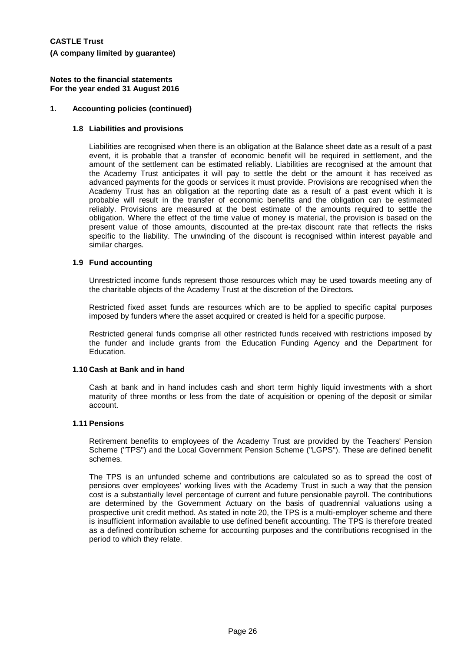**(A company limited by guarantee)**

#### **Notes to the financial statements For the year ended 31 August 2016**

#### **1. Accounting policies (continued)**

#### **1.8 Liabilities and provisions**

Liabilities are recognised when there is an obligation at the Balance sheet date as a result of a past event, it is probable that a transfer of economic benefit will be required in settlement, and the amount of the settlement can be estimated reliably. Liabilities are recognised at the amount that the Academy Trust anticipates it will pay to settle the debt or the amount it has received as advanced payments for the goods or services it must provide. Provisions are recognised when the Academy Trust has an obligation at the reporting date as a result of a past event which it is probable will result in the transfer of economic benefits and the obligation can be estimated reliably. Provisions are measured at the best estimate of the amounts required to settle the obligation. Where the effect of the time value of money is material, the provision is based on the present value of those amounts, discounted at the pre-tax discount rate that reflects the risks specific to the liability. The unwinding of the discount is recognised within interest payable and similar charges.

#### **1.9 Fund accounting**

Unrestricted income funds represent those resources which may be used towards meeting any of the charitable objects of the Academy Trust at the discretion of the Directors.

Restricted fixed asset funds are resources which are to be applied to specific capital purposes imposed by funders where the asset acquired or created is held for a specific purpose.

Restricted general funds comprise all other restricted funds received with restrictions imposed by the funder and include grants from the Education Funding Agency and the Department for Education.

#### **1.10 Cash at Bank and in hand**

Cash at bank and in hand includes cash and short term highly liquid investments with a short maturity of three months or less from the date of acquisition or opening of the deposit or similar account.

#### **1.11 Pensions**

Retirement benefits to employees of the Academy Trust are provided by the Teachers' Pension Scheme ("TPS") and the Local Government Pension Scheme ("LGPS"). These are defined benefit schemes.

The TPS is an unfunded scheme and contributions are calculated so as to spread the cost of pensions over employees' working lives with the Academy Trust in such a way that the pension cost is a substantially level percentage of current and future pensionable payroll. The contributions are determined by the Government Actuary on the basis of quadrennial valuations using a prospective unit credit method. As stated in note 20, the TPS is a multi-employer scheme and there is insufficient information available to use defined benefit accounting. The TPS is therefore treated as a defined contribution scheme for accounting purposes and the contributions recognised in the period to which they relate.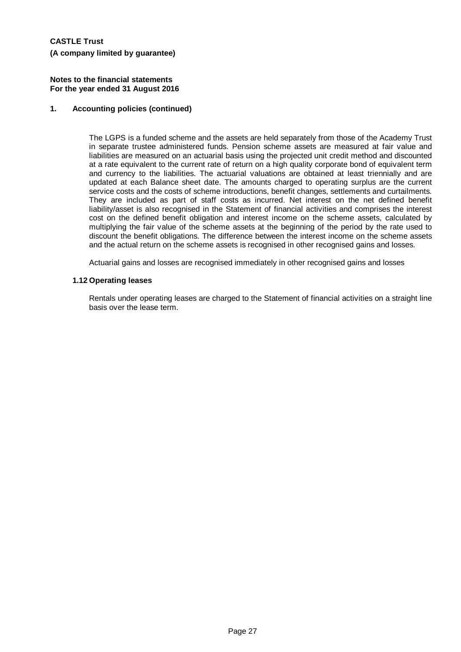#### **Notes to the financial statements For the year ended 31 August 2016**

# **1. Accounting policies (continued)**

The LGPS is a funded scheme and the assets are held separately from those of the Academy Trust in separate trustee administered funds. Pension scheme assets are measured at fair value and liabilities are measured on an actuarial basis using the projected unit credit method and discounted at a rate equivalent to the current rate of return on a high quality corporate bond of equivalent term and currency to the liabilities. The actuarial valuations are obtained at least triennially and are updated at each Balance sheet date. The amounts charged to operating surplus are the current service costs and the costs of scheme introductions, benefit changes, settlements and curtailments. They are included as part of staff costs as incurred. Net interest on the net defined benefit liability/asset is also recognised in the Statement of financial activities and comprises the interest cost on the defined benefit obligation and interest income on the scheme assets, calculated by multiplying the fair value of the scheme assets at the beginning of the period by the rate used to discount the benefit obligations. The difference between the interest income on the scheme assets and the actual return on the scheme assets is recognised in other recognised gains and losses.

Actuarial gains and losses are recognised immediately in other recognised gains and losses

# **1.12 Operating leases**

Rentals under operating leases are charged to the Statement of financial activities on a straight line basis over the lease term.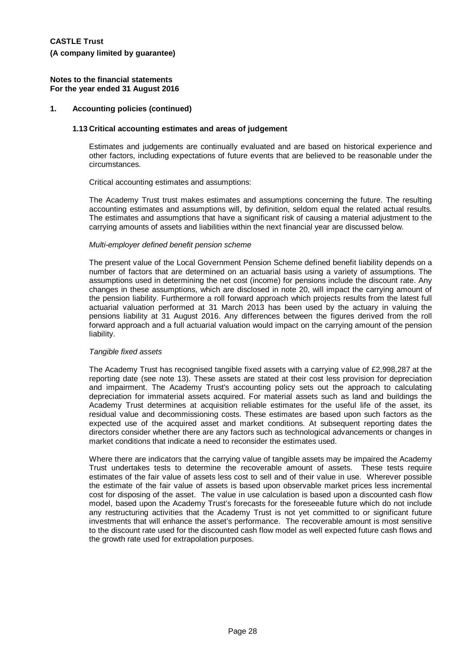#### **(A company limited by guarantee)**

#### **Notes to the financial statements For the year ended 31 August 2016**

#### **1. Accounting policies (continued)**

#### **1.13 Critical accounting estimates and areas of judgement**

Estimates and judgements are continually evaluated and are based on historical experience and other factors, including expectations of future events that are believed to be reasonable under the circumstances.

Critical accounting estimates and assumptions:

The Academy Trust trust makes estimates and assumptions concerning the future. The resulting accounting estimates and assumptions will, by definition, seldom equal the related actual results. The estimates and assumptions that have a significant risk of causing a material adjustment to the carrying amounts of assets and liabilities within the next financial year are discussed below.

#### Multi-employer defined benefit pension scheme

The present value of the Local Government Pension Scheme defined benefit liability depends on a number of factors that are determined on an actuarial basis using a variety of assumptions. The assumptions used in determining the net cost (income) for pensions include the discount rate. Any changes in these assumptions, which are disclosed in note 20, will impact the carrying amount of the pension liability. Furthermore a roll forward approach which projects results from the latest full actuarial valuation performed at 31 March 2013 has been used by the actuary in valuing the pensions liability at 31 August 2016. Any differences between the figures derived from the roll forward approach and a full actuarial valuation would impact on the carrying amount of the pension liability.

#### Tangible fixed assets

The Academy Trust has recognised tangible fixed assets with a carrying value of £2,998,287 at the reporting date (see note 13). These assets are stated at their cost less provision for depreciation and impairment. The Academy Trust's accounting policy sets out the approach to calculating depreciation for immaterial assets acquired. For material assets such as land and buildings the Academy Trust determines at acquisition reliable estimates for the useful life of the asset, its residual value and decommissioning costs. These estimates are based upon such factors as the expected use of the acquired asset and market conditions. At subsequent reporting dates the directors consider whether there are any factors such as technological advancements or changes in market conditions that indicate a need to reconsider the estimates used.

Where there are indicators that the carrying value of tangible assets may be impaired the Academy Trust undertakes tests to determine the recoverable amount of assets. These tests require estimates of the fair value of assets less cost to sell and of their value in use. Wherever possible the estimate of the fair value of assets is based upon observable market prices less incremental cost for disposing of the asset. The value in use calculation is based upon a discounted cash flow model, based upon the Academy Trust's forecasts for the foreseeable future which do not include any restructuring activities that the Academy Trust is not yet committed to or significant future investments that will enhance the asset's performance. The recoverable amount is most sensitive to the discount rate used for the discounted cash flow model as well expected future cash flows and the growth rate used for extrapolation purposes.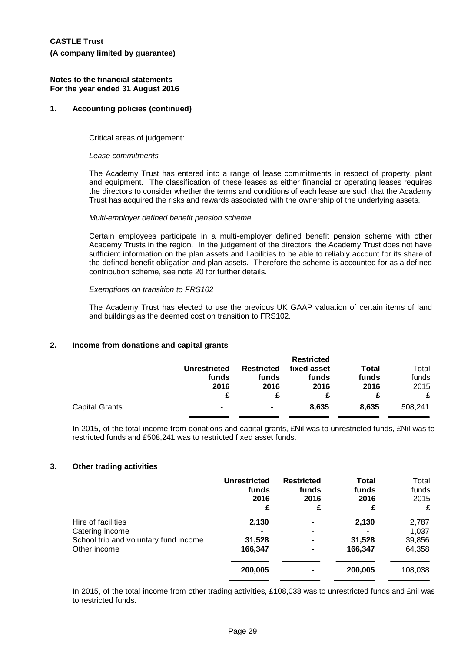**(A company limited by guarantee)**

#### **Notes to the financial statements For the year ended 31 August 2016**

#### **1. Accounting policies (continued)**

Critical areas of judgement:

#### Lease commitments

The Academy Trust has entered into a range of lease commitments in respect of property, plant and equipment. The classification of these leases as either financial or operating leases requires the directors to consider whether the terms and conditions of each lease are such that the Academy Trust has acquired the risks and rewards associated with the ownership of the underlying assets.

#### Multi-employer defined benefit pension scheme

Certain employees participate in a multi-employer defined benefit pension scheme with other Academy Trusts in the region. In the judgement of the directors, the Academy Trust does not have sufficient information on the plan assets and liabilities to be able to reliably account for its share of the defined benefit obligation and plan assets. Therefore the scheme is accounted for as a defined contribution scheme, see note 20 for further details.

#### Exemptions on transition to FRS102

The Academy Trust has elected to use the previous UK GAAP valuation of certain items of land and buildings as the deemed cost on transition to FRS102.

# **2. Income from donations and capital grants**

|                       | Unrestricted<br>funds<br>2016 | <b>Restricted</b><br>funds<br>2016 | <b>Restricted</b><br>fixed asset<br>funds<br>2016 | Total<br>funds<br>2016<br>£ | Total<br>funds<br>2015<br>£ |
|-----------------------|-------------------------------|------------------------------------|---------------------------------------------------|-----------------------------|-----------------------------|
| <b>Capital Grants</b> | $\blacksquare$                | $\blacksquare$                     | 8.635                                             | 8.635                       | 508.241                     |

In 2015, of the total income from donations and capital grants, £Nil was to unrestricted funds, £Nil was to restricted funds and £508,241 was to restricted fixed asset funds.

# **3. Other trading activities**

|                                                          | Unrestricted<br>funds<br>2016<br>£ | <b>Restricted</b><br>funds<br>2016<br>£ | <b>Total</b><br>funds<br>2016<br>£ | Total<br>funds<br>2015<br>£ |
|----------------------------------------------------------|------------------------------------|-----------------------------------------|------------------------------------|-----------------------------|
| Hire of facilities                                       | 2,130                              | $\blacksquare$                          | 2,130                              | 2,787                       |
| Catering income<br>School trip and voluntary fund income | 31,528                             | $\blacksquare$<br>$\blacksquare$        | 31,528                             | 1,037<br>39,856             |
| Other income                                             | 166,347                            | $\blacksquare$                          | 166,347                            | 64,358                      |
|                                                          | 200,005                            |                                         | 200,005                            | 108,038                     |

In 2015, of the total income from other trading activities, £108,038 was to unrestricted funds and £nil was to restricted funds.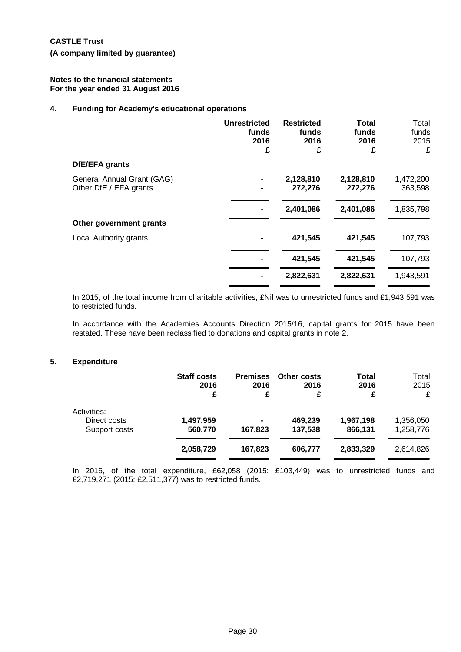**(A company limited by guarantee)**

## **Notes to the financial statements For the year ended 31 August 2016**

# **4. Funding for Academy's educational operations**

|                                                      | <b>Unrestricted</b><br>funds<br>2016<br>£ | <b>Restricted</b><br>funds<br>2016<br>£ | <b>Total</b><br>funds<br>2016<br>£ | Total<br>funds<br>2015<br>£ |
|------------------------------------------------------|-------------------------------------------|-----------------------------------------|------------------------------------|-----------------------------|
| DfE/EFA grants                                       |                                           |                                         |                                    |                             |
| General Annual Grant (GAG)<br>Other DfE / EFA grants |                                           | 2,128,810<br>272,276                    | 2,128,810<br>272,276               | 1,472,200<br>363,598        |
|                                                      |                                           | 2,401,086                               | 2,401,086                          | 1,835,798                   |
| Other government grants                              |                                           |                                         |                                    |                             |
| Local Authority grants                               |                                           | 421,545                                 | 421,545                            | 107,793                     |
|                                                      |                                           | 421,545                                 | 421,545                            | 107,793                     |
|                                                      |                                           | 2,822,631                               | 2,822,631                          | 1,943,591                   |

In 2015, of the total income from charitable activities, £Nil was to unrestricted funds and £1,943,591 was to restricted funds.

In accordance with the Academies Accounts Direction 2015/16, capital grants for 2015 have been restated. These have been reclassified to donations and capital grants in note 2.

# **5. Expenditure**

|                                    | <b>Staff costs</b><br>2016<br>£ | <b>Premises</b><br>2016<br>£ | Other costs<br>2016<br>£ | <b>Total</b><br>2016<br>£ | Total<br>2015<br>£ |
|------------------------------------|---------------------------------|------------------------------|--------------------------|---------------------------|--------------------|
| <b>Activities:</b><br>Direct costs | 1,497,959                       | $\blacksquare$               | 469.239                  | 1,967,198                 | 1,356,050          |
| Support costs                      | 560,770                         | 167,823                      | 137,538                  | 866,131                   | 1,258,776          |
|                                    | 2,058,729                       | 167,823                      | 606,777                  | 2,833,329                 | 2,614,826          |

In 2016, of the total expenditure, £62,058 (2015: £103,449) was to unrestricted funds and £2,719,271 (2015: £2,511,377) was to restricted funds.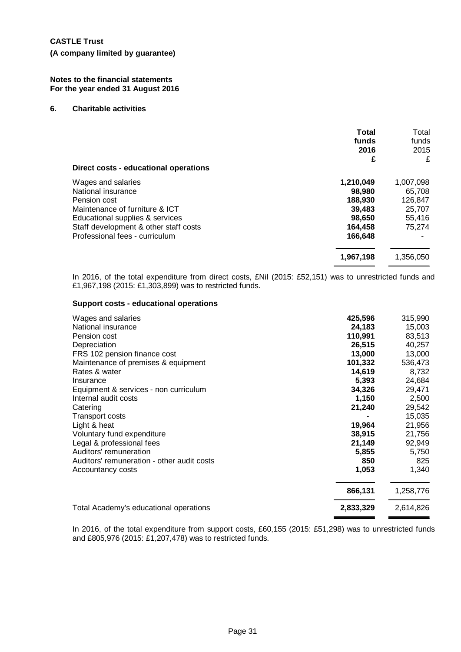**(A company limited by guarantee)**

# **Notes to the financial statements For the year ended 31 August 2016**

# **6. Charitable activities**

| <b>Total</b><br>funds<br>2016<br>£<br>Direct costs - educational operations | Total<br>funds<br>2015<br>£ |
|-----------------------------------------------------------------------------|-----------------------------|
| Wages and salaries<br>1,210,049                                             | 1,007,098                   |
| National insurance<br>98,980                                                | 65,708                      |
| 188,930<br>Pension cost                                                     | 126,847                     |
| Maintenance of furniture & ICT<br>39,483                                    | 25,707                      |
| 98.650<br>Educational supplies & services                                   | 55.416                      |
| Staff development & other staff costs<br>164,458                            | 75,274                      |
| Professional fees - curriculum<br>166,648                                   |                             |
| 1,967,198                                                                   | 1,356,050                   |

In 2016, of the total expenditure from direct costs, £Nil (2015: £52,151) was to unrestricted funds and £1,967,198 (2015: £1,303,899) was to restricted funds.

# **Support costs - educational operations**

| Wages and salaries<br>National insurance<br>Pension cost<br>Depreciation<br>FRS 102 pension finance cost<br>Maintenance of premises & equipment<br>Rates & water<br>Insurance<br>Equipment & services - non curriculum<br>Internal audit costs<br>Catering<br>Transport costs<br>Light & heat<br>Voluntary fund expenditure<br>Legal & professional fees<br>Auditors' remuneration<br>Auditors' remuneration - other audit costs<br>Accountancy costs | 425,596<br>24,183<br>110,991<br>26,515<br>13,000<br>101,332<br>14,619<br>5,393<br>34,326<br>1,150<br>21,240<br>19,964<br>38,915<br>21,149<br>5,855<br>850<br>1,053 | 315,990<br>15,003<br>83,513<br>40,257<br>13,000<br>536,473<br>8,732<br>24,684<br>29,471<br>2,500<br>29,542<br>15,035<br>21,956<br>21,756<br>92,949<br>5,750<br>825<br>1,340 |
|-------------------------------------------------------------------------------------------------------------------------------------------------------------------------------------------------------------------------------------------------------------------------------------------------------------------------------------------------------------------------------------------------------------------------------------------------------|--------------------------------------------------------------------------------------------------------------------------------------------------------------------|-----------------------------------------------------------------------------------------------------------------------------------------------------------------------------|
|                                                                                                                                                                                                                                                                                                                                                                                                                                                       | 866,131                                                                                                                                                            | 1,258,776                                                                                                                                                                   |
| Total Academy's educational operations                                                                                                                                                                                                                                                                                                                                                                                                                | 2,833,329                                                                                                                                                          | 2,614,826                                                                                                                                                                   |

In 2016, of the total expenditure from support costs, £60,155 (2015: £51,298) was to unrestricted funds and £805,976 (2015: £1,207,478) was to restricted funds.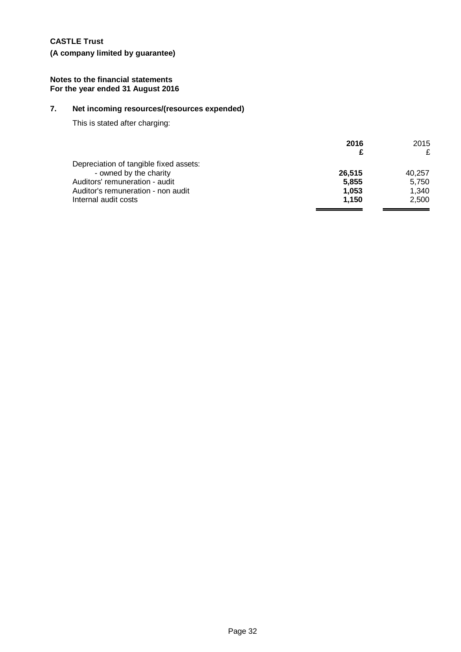**(A company limited by guarantee)**

# **Notes to the financial statements For the year ended 31 August 2016**

# **7. Net incoming resources/(resources expended)**

This is stated after charging:

|                                        | 2016   | 2015   |
|----------------------------------------|--------|--------|
|                                        |        | £      |
| Depreciation of tangible fixed assets: |        |        |
| - owned by the charity                 | 26.515 | 40.257 |
| Auditors' remuneration - audit         | 5,855  | 5.750  |
| Auditor's remuneration - non audit     | 1.053  | 1.340  |
| Internal audit costs                   | 1,150  | 2,500  |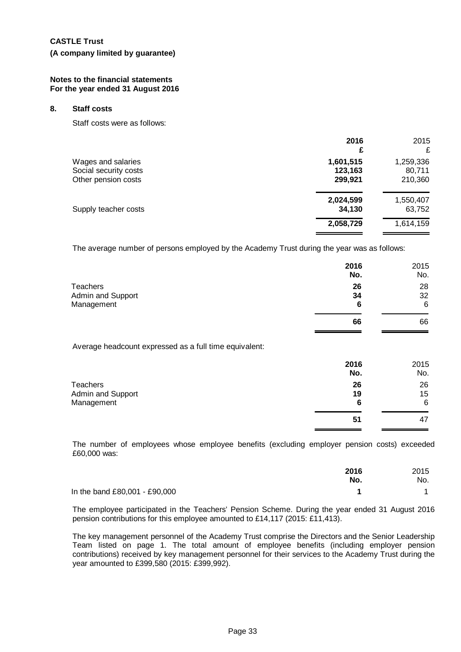**(A company limited by guarantee)**

**Notes to the financial statements For the year ended 31 August 2016**

#### **8. Staff costs**

Staff costs were as follows:

|                                             | 2016<br>£            | 2015<br>£           |
|---------------------------------------------|----------------------|---------------------|
| Wages and salaries<br>Social security costs | 1,601,515<br>123,163 | 1,259,336<br>80,711 |
| Other pension costs                         | 299,921              | 210,360             |
| Supply teacher costs                        | 2,024,599<br>34,130  | 1,550,407<br>63,752 |
|                                             | 2,058,729            | 1,614,159           |

The average number of persons employed by the Academy Trust during the year was as follows:

|                   | 2016<br>No. | 2015<br>No. |
|-------------------|-------------|-------------|
| Teachers          | 26          | 28          |
| Admin and Support | 34          | 32          |
| Management        | 6           | 6           |
|                   | 66          | 66          |
|                   |             |             |

Average headcount expressed as a full time equivalent:

|                                             | 2016<br>No.   | 2015<br>No.   |
|---------------------------------------------|---------------|---------------|
| Teachers<br>Admin and Support<br>Management | 26<br>19<br>6 | 26<br>15<br>6 |
|                                             | 51            | 47            |

The number of employees whose employee benefits (excluding employer pension costs) exceeded £60,000 was:

|                               | 2016<br>No. | 2015<br>No. |
|-------------------------------|-------------|-------------|
| In the band £80,001 - £90,000 |             | и           |

The employee participated in the Teachers' Pension Scheme. During the year ended 31 August 2016 pension contributions for this employee amounted to £14,117 (2015: £11,413).

The key management personnel of the Academy Trust comprise the Directors and the Senior Leadership Team listed on page 1. The total amount of employee benefits (including employer pension contributions) received by key management personnel for their services to the Academy Trust during the year amounted to £399,580 (2015: £399,992).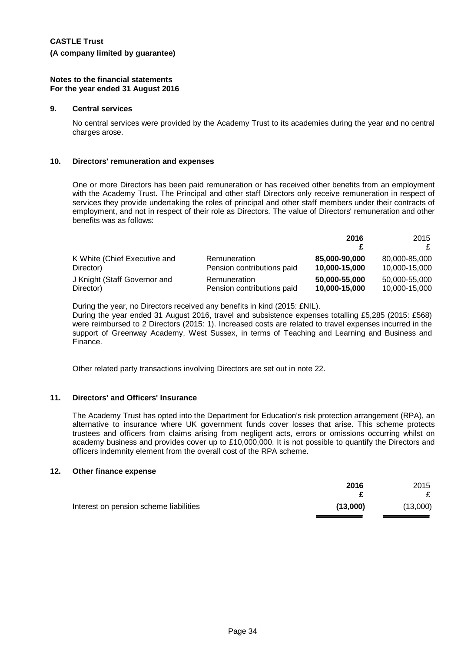#### **Notes to the financial statements For the year ended 31 August 2016**

#### **9. Central services**

No central services were provided by the Academy Trust to its academies during the year and no central charges arose.

## **10. Directors' remuneration and expenses**

One or more Directors has been paid remuneration or has received other benefits from an employment with the Academy Trust. The Principal and other staff Directors only receive remuneration in respect of services they provide undertaking the roles of principal and other staff members under their contracts of employment, and not in respect of their role as Directors. The value of Directors' remuneration and other benefits was as follows:

|                              |                            | 2016          | 2015          |
|------------------------------|----------------------------|---------------|---------------|
| K White (Chief Executive and | Remuneration               | 85,000-90,000 | 80.000-85.000 |
| Director)                    | Pension contributions paid | 10,000-15,000 | 10,000-15,000 |
| J Knight (Staff Governor and | Remuneration               | 50,000-55,000 | 50.000-55.000 |
| Director)                    | Pension contributions paid | 10,000-15,000 | 10,000-15,000 |

During the year, no Directors received any benefits in kind (2015: £NIL).

During the year ended 31 August 2016, travel and subsistence expenses totalling £5,285 (2015: £568) were reimbursed to 2 Directors (2015: 1). Increased costs are related to travel expenses incurred in the support of Greenway Academy, West Sussex, in terms of Teaching and Learning and Business and Finance.

Other related party transactions involving Directors are set out in note 22.

# **11. Directors' and Officers' Insurance**

The Academy Trust has opted into the Department for Education's risk protection arrangement (RPA), an alternative to insurance where UK government funds cover losses that arise. This scheme protects trustees and officers from claims arising from negligent acts, errors or omissions occurring whilst on academy business and provides cover up to £10,000,000. It is not possible to quantify the Directors and officers indemnity element from the overall cost of the RPA scheme.

#### **12. Other finance expense**

|                                        | 2016     | 2015     |
|----------------------------------------|----------|----------|
| Interest on pension scheme liabilities | (13,000) | (13,000) |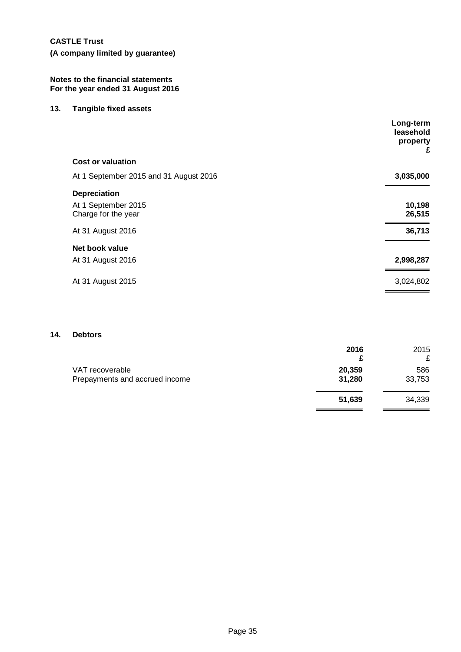**(A company limited by guarantee)**

# **Notes to the financial statements For the year ended 31 August 2016**

# **13. Tangible fixed assets**

|                                            | Long-term<br>leasehold<br>property<br>£ |
|--------------------------------------------|-----------------------------------------|
| <b>Cost or valuation</b>                   |                                         |
| At 1 September 2015 and 31 August 2016     | 3,035,000                               |
| <b>Depreciation</b>                        |                                         |
| At 1 September 2015<br>Charge for the year | 10,198<br>26,515                        |
|                                            |                                         |
| At 31 August 2016                          | 36,713                                  |
| Net book value                             |                                         |
| At 31 August 2016                          | 2,998,287                               |
| At 31 August 2015                          | 3,024,802                               |

# **14. Debtors**

|                                                   | 2016             | 2015<br>£     |
|---------------------------------------------------|------------------|---------------|
| VAT recoverable<br>Prepayments and accrued income | 20,359<br>31,280 | 586<br>33,753 |
|                                                   | 51,639           | 34,339        |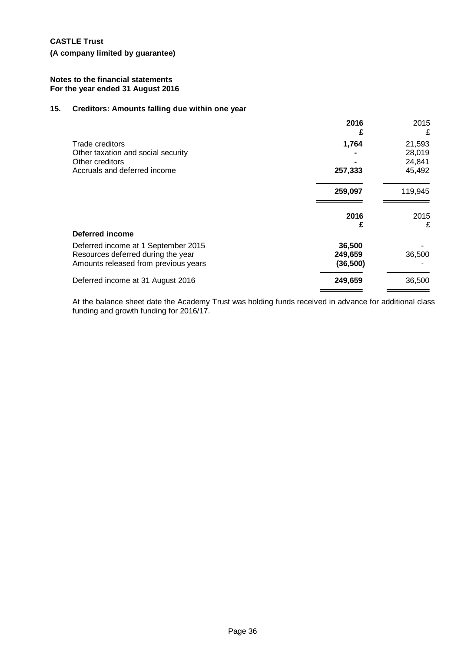**(A company limited by guarantee)**

# **Notes to the financial statements For the year ended 31 August 2016**

# **15. Creditors: Amounts falling due within one year**

|                                      | 2016<br>£ | 2015<br>£ |
|--------------------------------------|-----------|-----------|
| Trade creditors                      | 1,764     | 21,593    |
| Other taxation and social security   |           | 28,019    |
| Other creditors                      |           | 24,841    |
| Accruals and deferred income         | 257,333   | 45,492    |
|                                      | 259,097   | 119,945   |
|                                      | 2016      | 2015      |
|                                      | £         | £         |
| Deferred income                      |           |           |
| Deferred income at 1 September 2015  | 36,500    |           |
| Resources deferred during the year   | 249,659   | 36,500    |
| Amounts released from previous years | (36, 500) |           |
| Deferred income at 31 August 2016    | 249,659   | 36,500    |

At the balance sheet date the Academy Trust was holding funds received in advance for additional class funding and growth funding for 2016/17.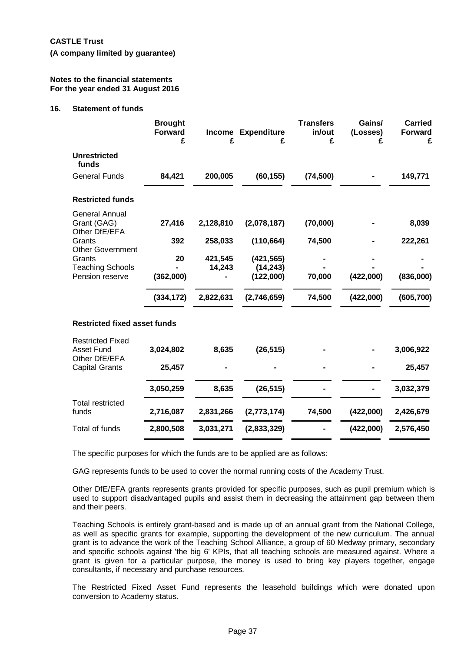**(A company limited by guarantee)**

#### **Notes to the financial statements For the year ended 31 August 2016**

#### **16. Statement of funds**

|                                                                                 | <b>Brought</b><br><b>Forward</b><br>£ | £                 | Income Expenditure<br>£              | <b>Transfers</b><br>in/out<br>£ | Gains/<br>(Losses)<br>£ | <b>Carried</b><br><b>Forward</b><br>£ |
|---------------------------------------------------------------------------------|---------------------------------------|-------------------|--------------------------------------|---------------------------------|-------------------------|---------------------------------------|
| <b>Unrestricted</b><br>funds                                                    |                                       |                   |                                      |                                 |                         |                                       |
| <b>General Funds</b>                                                            | 84,421                                | 200,005           | (60, 155)                            | (74, 500)                       |                         | 149,771                               |
| <b>Restricted funds</b>                                                         |                                       |                   |                                      |                                 |                         |                                       |
| <b>General Annual</b><br>Grant (GAG)<br>Other DfE/EFA                           | 27,416                                | 2,128,810         | (2,078,187)                          | (70,000)                        |                         | 8,039                                 |
| Grants                                                                          | 392                                   | 258,033           | (110, 664)                           | 74,500                          |                         | 222,261                               |
| <b>Other Government</b><br>Grants<br><b>Teaching Schools</b><br>Pension reserve | 20<br>(362,000)                       | 421,545<br>14,243 | (421, 565)<br>(14, 243)<br>(122,000) | 70,000                          | (422,000)               | (836,000)                             |
|                                                                                 | (334, 172)                            | 2,822,631         | (2,746,659)                          | 74,500                          | (422,000)               | (605, 700)                            |
| <b>Restricted fixed asset funds</b>                                             |                                       |                   |                                      |                                 |                         |                                       |
| <b>Restricted Fixed</b><br>Asset Fund<br>Other DfE/EFA                          | 3,024,802                             | 8,635             | (26, 515)                            |                                 |                         | 3,006,922                             |
| <b>Capital Grants</b>                                                           | 25,457                                |                   |                                      |                                 |                         | 25,457                                |
|                                                                                 | 3,050,259                             | 8,635             | (26, 515)                            |                                 |                         | 3,032,379                             |
| <b>Total restricted</b><br>funds                                                | 2,716,087                             | 2,831,266         | (2,773,174)                          | 74,500                          | (422,000)               | 2,426,679                             |
| Total of funds                                                                  | 2,800,508                             | 3,031,271         | (2,833,329)                          |                                 | (422,000)               | 2,576,450                             |

The specific purposes for which the funds are to be applied are as follows:

GAG represents funds to be used to cover the normal running costs of the Academy Trust.

Other DfE/EFA grants represents grants provided for specific purposes, such as pupil premium which is used to support disadvantaged pupils and assist them in decreasing the attainment gap between them and their peers.

Teaching Schools is entirely grant-based and is made up of an annual grant from the National College, as well as specific grants for example, supporting the development of the new curriculum. The annual grant is to advance the work of the Teaching School Alliance, a group of 60 Medway primary, secondary and specific schools against 'the big 6' KPIs, that all teaching schools are measured against. Where a grant is given for a particular purpose, the money is used to bring key players together, engage consultants, if necessary and purchase resources.

The Restricted Fixed Asset Fund represents the leasehold buildings which were donated upon conversion to Academy status.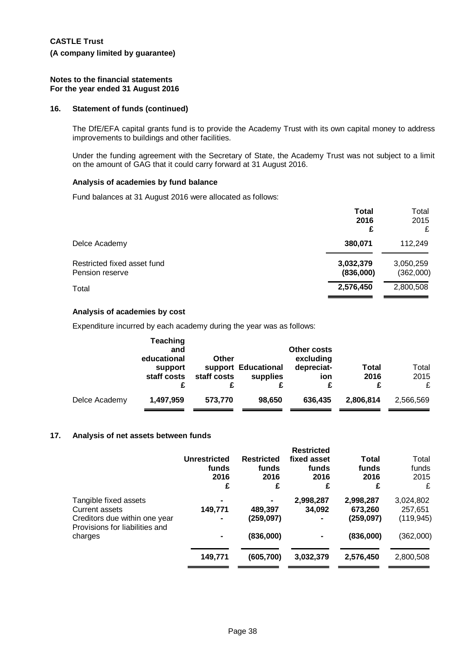#### **Notes to the financial statements For the year ended 31 August 2016**

#### **16. Statement of funds (continued)**

The DfE/EFA capital grants fund is to provide the Academy Trust with its own capital money to address improvements to buildings and other facilities.

Under the funding agreement with the Secretary of State, the Academy Trust was not subject to a limit on the amount of GAG that it could carry forward at 31 August 2016.

#### **Analysis of academies by fund balance**

Fund balances at 31 August 2016 were allocated as follows:

|                                                | <b>Total</b><br>2016<br>£ | Total<br>2015<br>£     |
|------------------------------------------------|---------------------------|------------------------|
| Delce Academy                                  | 380,071                   | 112,249                |
| Restricted fixed asset fund<br>Pension reserve | 3,032,379<br>(836,000)    | 3,050,259<br>(362,000) |
| Total                                          | 2,576,450                 | 2,800,508              |

# **Analysis of academies by cost**

Expenditure incurred by each academy during the year was as follows:

|               | Teaching<br>and<br>educational | Other       |                     | Other costs<br>excluding |           |           |
|---------------|--------------------------------|-------------|---------------------|--------------------------|-----------|-----------|
|               | support                        |             | support Educational | depreciat-               | Total     | Total     |
|               | staff costs                    | staff costs | supplies            | ion                      | 2016      | 2015      |
|               |                                |             | £                   | £                        | £         | £         |
| Delce Academy | 1,497,959                      | 573,770     | 98.650              | 636,435                  | 2,806,814 | 2,566,569 |

# **17. Analysis of net assets between funds**

|                                                                                                            | <b>Unrestricted</b><br>funds<br>2016<br>£ | <b>Restricted</b><br>funds<br>2016<br>£ | <b>Restricted</b><br>fixed asset<br>funds<br>2016<br>£ | Total<br>funds<br>2016<br>£        | Total<br>funds<br>2015<br>£        |
|------------------------------------------------------------------------------------------------------------|-------------------------------------------|-----------------------------------------|--------------------------------------------------------|------------------------------------|------------------------------------|
| Tangible fixed assets<br>Current assets<br>Creditors due within one year<br>Provisions for liabilities and | $\blacksquare$<br>149,771                 | 489,397<br>(259, 097)                   | 2,998,287<br>34,092                                    | 2,998,287<br>673,260<br>(259, 097) | 3,024,802<br>257,651<br>(119, 945) |
| charges                                                                                                    | $\blacksquare$                            | (836,000)                               | -                                                      | (836,000)                          | (362,000)                          |
|                                                                                                            | 149,771                                   | (605, 700)                              | 3,032,379                                              | 2,576,450                          | 2,800,508                          |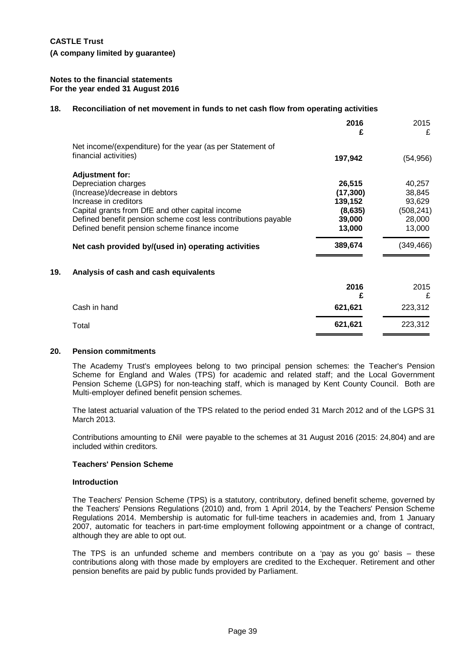**(A company limited by guarantee)**

#### **Notes to the financial statements For the year ended 31 August 2016**

# **18. Reconciliation of net movement in funds to net cash flow from operating activities**

|     |                                                                | 2016<br>£ | 2015<br>£  |
|-----|----------------------------------------------------------------|-----------|------------|
|     | Net income/(expenditure) for the year (as per Statement of     |           |            |
|     | financial activities)                                          | 197,942   | (54, 956)  |
|     | <b>Adjustment for:</b>                                         |           |            |
|     | Depreciation charges                                           | 26,515    | 40,257     |
|     | (Increase)/decrease in debtors                                 | (17, 300) | 38,845     |
|     | Increase in creditors                                          | 139,152   | 93,629     |
|     | Capital grants from DfE and other capital income               | (8,635)   | (508, 241) |
|     | Defined benefit pension scheme cost less contributions payable | 39,000    | 28,000     |
|     | Defined benefit pension scheme finance income                  | 13,000    | 13,000     |
|     | Net cash provided by/(used in) operating activities            | 389,674   | (349, 466) |
| 19. | Analysis of cash and cash equivalents                          |           |            |
|     |                                                                | 2016      | 2015       |
|     |                                                                | £         | £          |
|     | Cash in hand                                                   | 621,621   | 223,312    |
|     | Total                                                          | 621,621   | 223,312    |
|     |                                                                |           |            |

# **20. Pension commitments**

The Academy Trust's employees belong to two principal pension schemes: the Teacher's Pension Scheme for England and Wales (TPS) for academic and related staff; and the Local Government Pension Scheme (LGPS) for non-teaching staff, which is managed by Kent County Council. Both are Multi-employer defined benefit pension schemes.

The latest actuarial valuation of the TPS related to the period ended 31 March 2012 and of the LGPS 31 March 2013.

Contributions amounting to £Nil were payable to the schemes at 31 August 2016 (2015: 24,804) and are included within creditors.

# **Teachers' Pension Scheme**

#### **Introduction**

The Teachers' Pension Scheme (TPS) is a statutory, contributory, defined benefit scheme, governed by the Teachers' Pensions Regulations (2010) and, from 1 April 2014, by the Teachers' Pension Scheme Regulations 2014. Membership is automatic for full-time teachers in academies and, from 1 January 2007, automatic for teachers in part-time employment following appointment or a change of contract, although they are able to opt out.

The TPS is an unfunded scheme and members contribute on a 'pay as you go' basis – these contributions along with those made by employers are credited to the Exchequer. Retirement and other pension benefits are paid by public funds provided by Parliament.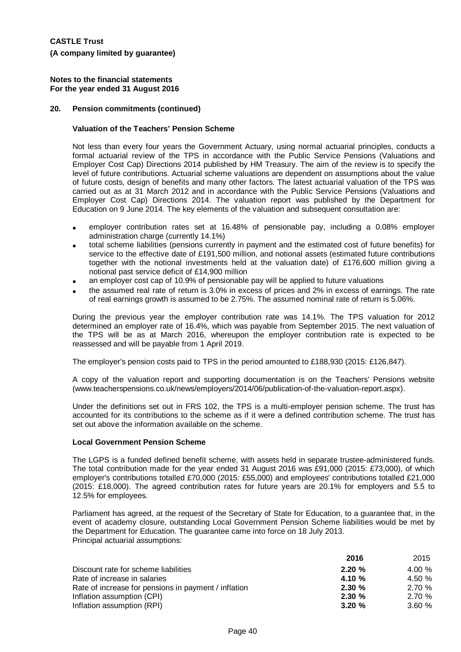#### **Notes to the financial statements For the year ended 31 August 2016**

#### **20. Pension commitments (continued)**

#### **Valuation of the Teachers' Pension Scheme**

Not less than every four years the Government Actuary, using normal actuarial principles, conducts a formal actuarial review of the TPS in accordance with the Public Service Pensions (Valuations and Employer Cost Cap) Directions 2014 published by HM Treasury. The aim of the review is to specify the level of future contributions. Actuarial scheme valuations are dependent on assumptions about the value of future costs, design of benefits and many other factors. The latest actuarial valuation of the TPS was carried out as at 31 March 2012 and in accordance with the Public Service Pensions (Valuations and Employer Cost Cap) Directions 2014. The valuation report was published by the Department for Education on 9 June 2014. The key elements of the valuation and subsequent consultation are:

- � employer contribution rates set at 16.48% of pensionable pay, including a 0.08% employer administration charge (currently 14.1%)
- � total scheme liabilities (pensions currently in payment and the estimated cost of future benefits) for service to the effective date of £191,500 million, and notional assets (estimated future contributions together with the notional investments held at the valuation date) of £176,600 million giving a notional past service deficit of £14,900 million
- � an employer cost cap of 10.9% of pensionable pay will be applied to future valuations
- the assumed real rate of return is 3.0% in excess of prices and 2% in excess of earnings. The rate of real earnings growth is assumed to be 2.75%. The assumed nominal rate of return is 5.06%.

During the previous year the employer contribution rate was 14.1%. The TPS valuation for 2012 determined an employer rate of 16.4%, which was payable from September 2015. The next valuation of the TPS will be as at March 2016, whereupon the employer contribution rate is expected to be reassessed and will be payable from 1 April 2019.

The employer's pension costs paid to TPS in the period amounted to £188,930 (2015: £126,847).

A copy of the valuation report and supporting documentation is on the Teachers' Pensions website (www.teacherspensions.co.uk/news/employers/2014/06/publication-of-the-valuation-report.aspx).

Under the definitions set out in FRS 102, the TPS is a multi-employer pension scheme. The trust has accounted for its contributions to the scheme as if it were a defined contribution scheme. The trust has set out above the information available on the scheme.

# **Local Government Pension Scheme**

The LGPS is a funded defined benefit scheme, with assets held in separate trustee-administered funds. The total contribution made for the year ended 31 August 2016 was £91,000 (2015: £73,000), of which employer's contributions totalled £70,000 (2015: £55,000) and employees' contributions totalled £21,000 (2015: £18,000). The agreed contribution rates for future years are 20.1% for employers and 5.5 to 12.5% for employees.

Parliament has agreed, at the request of the Secretary of State for Education, to a guarantee that, in the event of academy closure, outstanding Local Government Pension Scheme liabilities would be met by the Department for Education. The guarantee came into force on 18 July 2013. Principal actuarial assumptions:

|                                                      | 2016  | 2015     |
|------------------------------------------------------|-------|----------|
| Discount rate for scheme liabilities                 | 2.20% | 4.00%    |
| Rate of increase in salaries                         | 4.10% | 4.50 $%$ |
| Rate of increase for pensions in payment / inflation | 2.30% | 2.70 %   |
| Inflation assumption (CPI)                           | 2.30% | 2.70 %   |
| Inflation assumption (RPI)                           | 3.20% | 3.60%    |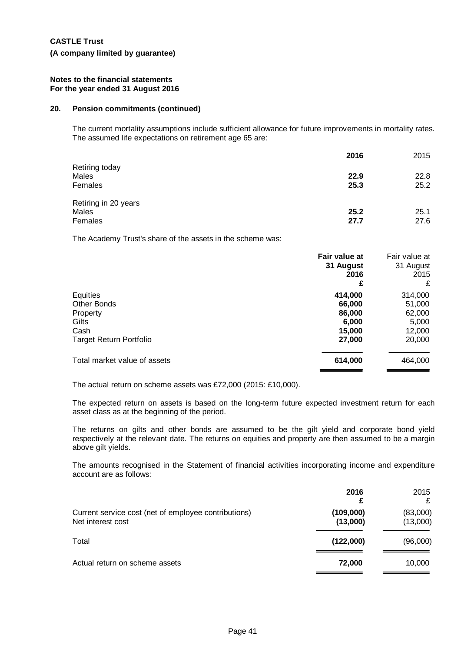**(A company limited by guarantee)**

## **Notes to the financial statements For the year ended 31 August 2016**

#### **20. Pension commitments (continued)**

The current mortality assumptions include sufficient allowance for future improvements in mortality rates. The assumed life expectations on retirement age 65 are:

| 2016 | 2015 |
|------|------|
|      |      |
| 22.9 | 22.8 |
| 25.3 | 25.2 |
|      |      |
| 25.2 | 25.1 |
| 27.7 | 27.6 |
|      |      |

The Academy Trust's share of the assets in the scheme was:

|                                | Fair value at<br>31 August<br>2016<br>£ | Fair value at<br>31 August<br>2015<br>£ |
|--------------------------------|-----------------------------------------|-----------------------------------------|
| Equities                       | 414,000                                 | 314,000                                 |
| <b>Other Bonds</b>             | 66,000                                  | 51,000                                  |
| Property                       | 86,000                                  | 62,000                                  |
| Gilts                          | 6,000                                   | 5,000                                   |
| Cash                           | 15,000                                  | 12,000                                  |
| <b>Target Return Portfolio</b> | 27,000                                  | 20,000                                  |
| Total market value of assets   | 614,000                                 | 464,000                                 |

The actual return on scheme assets was £72,000 (2015: £10,000).

The expected return on assets is based on the long-term future expected investment return for each asset class as at the beginning of the period.

The returns on gilts and other bonds are assumed to be the gilt yield and corporate bond yield respectively at the relevant date. The returns on equities and property are then assumed to be a margin above gilt yields.

The amounts recognised in the Statement of financial activities incorporating income and expenditure account are as follows:

|                                                                           | 2016<br>£             | 2015<br>£            |
|---------------------------------------------------------------------------|-----------------------|----------------------|
| Current service cost (net of employee contributions)<br>Net interest cost | (109,000)<br>(13,000) | (83,000)<br>(13,000) |
| Total                                                                     | (122,000)             | (96,000)             |
| Actual return on scheme assets                                            | 72.000                | 10,000               |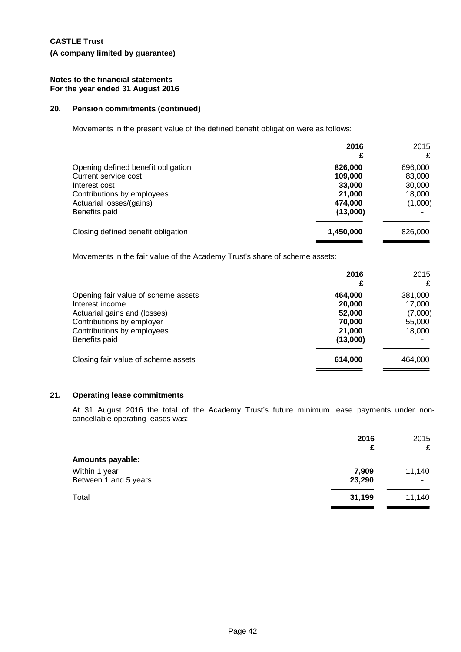**(A company limited by guarantee)**

#### **Notes to the financial statements For the year ended 31 August 2016**

#### **20. Pension commitments (continued)**

Movements in the present value of the defined benefit obligation were as follows:

|                                                                                                                                                        | 2016<br>£                                                     | 2015<br>£                                        |
|--------------------------------------------------------------------------------------------------------------------------------------------------------|---------------------------------------------------------------|--------------------------------------------------|
| Opening defined benefit obligation<br>Current service cost<br>Interest cost<br>Contributions by employees<br>Actuarial losses/(gains)<br>Benefits paid | 826,000<br>109.000<br>33,000<br>21,000<br>474.000<br>(13,000) | 696,000<br>83,000<br>30,000<br>18,000<br>(1,000) |
| Closing defined benefit obligation                                                                                                                     | 1,450,000                                                     | 826,000                                          |

Movements in the fair value of the Academy Trust's share of scheme assets:

|                                                                                                                                                                    | 2016                                                        | 2015<br>£                                        |
|--------------------------------------------------------------------------------------------------------------------------------------------------------------------|-------------------------------------------------------------|--------------------------------------------------|
| Opening fair value of scheme assets<br>Interest income<br>Actuarial gains and (losses)<br>Contributions by employer<br>Contributions by employees<br>Benefits paid | 464.000<br>20,000<br>52,000<br>70,000<br>21,000<br>(13,000) | 381,000<br>17.000<br>(7,000)<br>55,000<br>18,000 |
| Closing fair value of scheme assets                                                                                                                                | 614,000                                                     | 464,000                                          |

## **21. Operating lease commitments**

At 31 August 2016 the total of the Academy Trust's future minimum lease payments under noncancellable operating leases was:

|                                        | 2016<br>£       | 2015<br>£                          |
|----------------------------------------|-----------------|------------------------------------|
| <b>Amounts payable:</b>                |                 |                                    |
| Within 1 year<br>Between 1 and 5 years | 7,909<br>23,290 | 11,140<br>$\overline{\phantom{a}}$ |
| Total                                  | 31,199          | 11,140                             |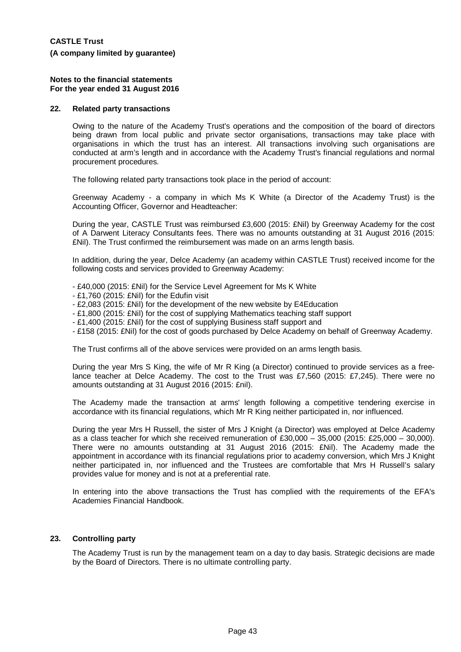#### **Notes to the financial statements For the year ended 31 August 2016**

#### **22. Related party transactions**

Owing to the nature of the Academy Trust's operations and the composition of the board of directors being drawn from local public and private sector organisations, transactions may take place with organisations in which the trust has an interest. All transactions involving such organisations are conducted at arm's length and in accordance with the Academy Trust's financial regulations and normal procurement procedures.

The following related party transactions took place in the period of account:

Greenway Academy - a company in which Ms K White (a Director of the Academy Trust) is the Accounting Officer, Governor and Headteacher:

During the year, CASTLE Trust was reimbursed £3,600 (2015: £Nil) by Greenway Academy for the cost of A Darwent Literacy Consultants fees. There was no amounts outstanding at 31 August 2016 (2015: £Nil). The Trust confirmed the reimbursement was made on an arms length basis.

In addition, during the year, Delce Academy (an academy within CASTLE Trust) received income for the following costs and services provided to Greenway Academy:

- £40,000 (2015: £Nil) for the Service Level Agreement for Ms K White
- £1,760 (2015: £Nil) for the Edufin visit
- £2,083 (2015: £Nil) for the development of the new website by E4Education
- £1,800 (2015: £Nil) for the cost of supplying Mathematics teaching staff support
- £1,400 (2015: £Nil) for the cost of supplying Business staff support and
- £158 (2015: £Nil) for the cost of goods purchased by Delce Academy on behalf of Greenway Academy.

The Trust confirms all of the above services were provided on an arms length basis.

During the year Mrs S King, the wife of Mr R King (a Director) continued to provide services as a freelance teacher at Delce Academy. The cost to the Trust was £7,560 (2015: £7,245). There were no amounts outstanding at 31 August 2016 (2015: £nil).

The Academy made the transaction at arms' length following a competitive tendering exercise in accordance with its financial regulations, which Mr R King neither participated in, nor influenced.

During the year Mrs H Russell, the sister of Mrs J Knight (a Director) was employed at Delce Academy as a class teacher for which she received remuneration of £30,000 – 35,000 (2015: £25,000 – 30,000). There were no amounts outstanding at 31 August 2016 (2015: £Nil). The Academy made the appointment in accordance with its financial regulations prior to academy conversion, which Mrs J Knight neither participated in, nor influenced and the Trustees are comfortable that Mrs H Russell's salary provides value for money and is not at a preferential rate.

In entering into the above transactions the Trust has complied with the requirements of the EFA's Academies Financial Handbook.

#### **23. Controlling party**

The Academy Trust is run by the management team on a day to day basis. Strategic decisions are made by the Board of Directors. There is no ultimate controlling party.